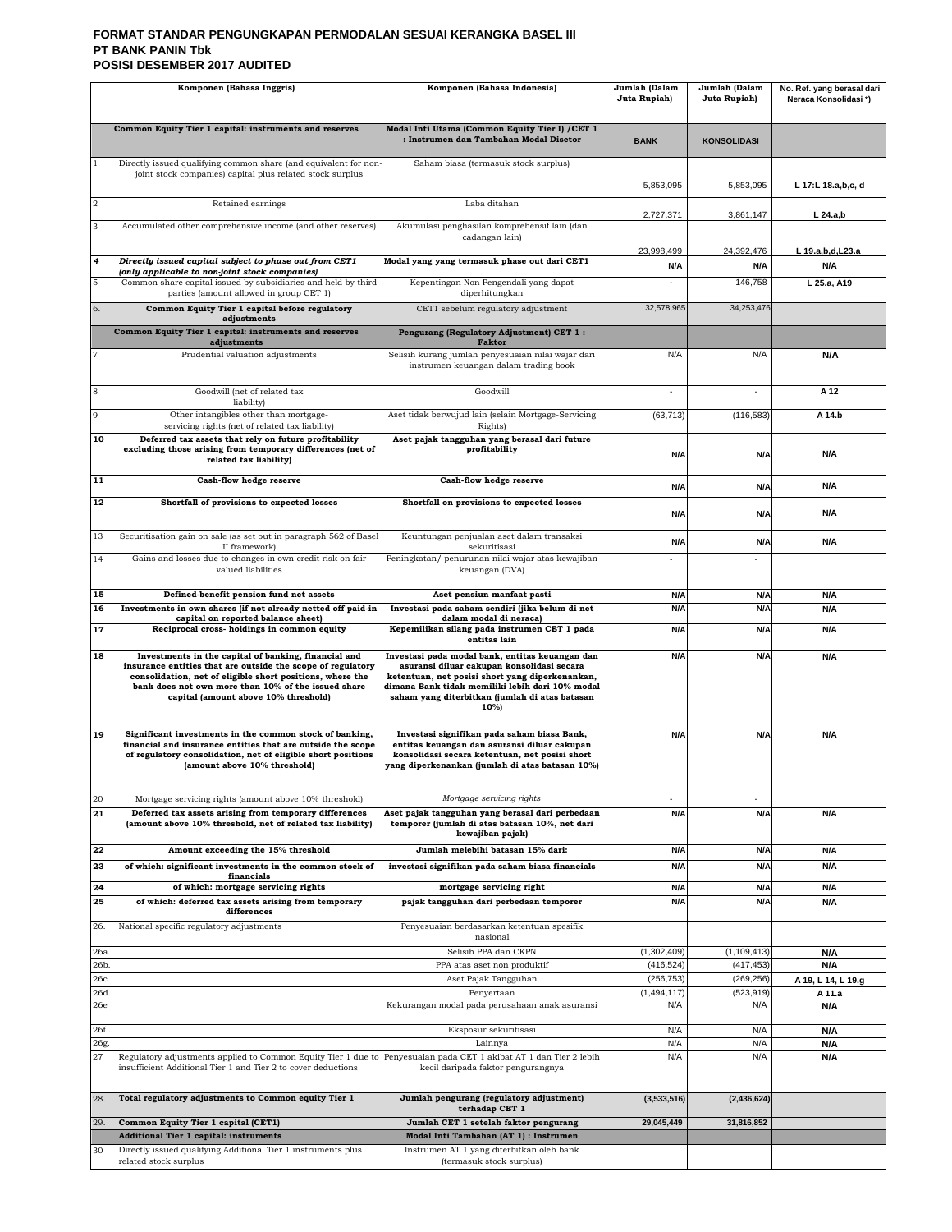#### **FORMAT STANDAR PENGUNGKAPAN PERMODALAN SESUAI KERANGKA BASEL III PT BANK PANIN Tbk POSISI DESEMBER 2017 AUDITED**

|                | Komponen (Bahasa Inggris)                                                                                                                                                                                                                                                       | Komponen (Bahasa Indonesia)                                                                                                                                                                                                                                   | Jumlah (Dalam<br>Juta Rupiah) | Jumlah (Dalam<br>Juta Rupiah) | No. Ref. yang berasal dari<br>Neraca Konsolidasi*) |
|----------------|---------------------------------------------------------------------------------------------------------------------------------------------------------------------------------------------------------------------------------------------------------------------------------|---------------------------------------------------------------------------------------------------------------------------------------------------------------------------------------------------------------------------------------------------------------|-------------------------------|-------------------------------|----------------------------------------------------|
|                | Common Equity Tier 1 capital: instruments and reserves                                                                                                                                                                                                                          | Modal Inti Utama (Common Equity Tier I) / CET 1<br>: Instrumen dan Tambahan Modal Disetor                                                                                                                                                                     | <b>BANK</b>                   | <b>KONSOLIDASI</b>            |                                                    |
|                | Directly issued qualifying common share (and equivalent for non-<br>joint stock companies) capital plus related stock surplus                                                                                                                                                   | Saham biasa (termasuk stock surplus)                                                                                                                                                                                                                          | 5,853,095                     | 5,853,095                     | L 17:L 18.a,b,c, d                                 |
| $\overline{2}$ | Retained earnings                                                                                                                                                                                                                                                               | Laba ditahan                                                                                                                                                                                                                                                  | 2,727,371                     | 3,861,147                     | $L$ 24.a,b                                         |
| 3              | Accumulated other comprehensive income (and other reserves)                                                                                                                                                                                                                     | Akumulasi penghasilan komprehensif lain (dan<br>cadangan lain)                                                                                                                                                                                                | 23,998,499                    | 24.392.476                    |                                                    |
| 4              | Directly issued capital subject to phase out from CET1<br>(only applicable to non-joint stock companies)                                                                                                                                                                        | Modal yang yang termasuk phase out dari CET1                                                                                                                                                                                                                  | N/A                           | N/A                           | L 19.a, b, d, L 23.a<br>N/A                        |
| 5              | Common share capital issued by subsidiaries and held by third<br>parties (amount allowed in group CET 1)                                                                                                                                                                        | Kepentingan Non Pengendali yang dapat<br>diperhitungkan                                                                                                                                                                                                       | ×,                            | 146,758                       | L 25.a. A19                                        |
| 6.             | Common Equity Tier 1 capital before regulatory<br>adjustments                                                                                                                                                                                                                   | CET1 sebelum regulatory adjustment                                                                                                                                                                                                                            | 32,578,965                    | 34,253,476                    |                                                    |
|                | Common Equity Tier 1 capital: instruments and reserves<br>adjustments                                                                                                                                                                                                           | Pengurang (Regulatory Adjustment) CET 1:<br><b>Faktor</b>                                                                                                                                                                                                     |                               |                               |                                                    |
|                | Prudential valuation adjustments                                                                                                                                                                                                                                                | Selisih kurang jumlah penyesuaian nilai wajar dari<br>instrumen keuangan dalam trading book                                                                                                                                                                   | N/A                           | N/A                           | N/A                                                |
| 8              | Goodwill (net of related tax<br>liability)                                                                                                                                                                                                                                      | Goodwill                                                                                                                                                                                                                                                      |                               |                               | A 12                                               |
| 9              | Other intangibles other than mortgage-<br>servicing rights (net of related tax liability)                                                                                                                                                                                       | Aset tidak berwujud lain (selain Mortgage-Servicing<br>Rights)                                                                                                                                                                                                | (63, 713)                     | (116, 583)                    | A 14.b                                             |
| 10             | Deferred tax assets that rely on future profitability<br>excluding those arising from temporary differences (net of<br>related tax liability)                                                                                                                                   | Aset pajak tangguhan yang berasal dari future<br>profitability                                                                                                                                                                                                | N/A                           | N/A                           | N/A                                                |
| 11             | Cash-flow hedge reserve                                                                                                                                                                                                                                                         | Cash-flow hedge reserve                                                                                                                                                                                                                                       | N/A                           | N/A                           | N/A                                                |
| 12             | Shortfall of provisions to expected losses                                                                                                                                                                                                                                      | Shortfall on provisions to expected losses                                                                                                                                                                                                                    | N/A                           | N/A                           | N/A                                                |
| 13             | Securitisation gain on sale (as set out in paragraph 562 of Basel<br>II framework)                                                                                                                                                                                              | Keuntungan penjualan aset dalam transaksi<br>sekuritisasi                                                                                                                                                                                                     | N/A                           | N/A                           | N/A                                                |
| 14             | Gains and losses due to changes in own credit risk on fair<br>valued liabilities                                                                                                                                                                                                | Peningkatan/ penurunan nilai wajar atas kewajiban<br>keuangan (DVA)                                                                                                                                                                                           |                               |                               |                                                    |
| 15             | Defined-benefit pension fund net assets                                                                                                                                                                                                                                         | Aset pensiun manfaat pasti                                                                                                                                                                                                                                    | N/A                           | N/A                           | N/A                                                |
| 16             | Investments in own shares (if not already netted off paid-in<br>capital on reported balance sheet)                                                                                                                                                                              | Investasi pada saham sendiri (jika belum di net<br>dalam modal di neraca)                                                                                                                                                                                     | N/A                           | N/A                           | N/A                                                |
| 17             | Reciprocal cross-holdings in common equity                                                                                                                                                                                                                                      | Kepemilikan silang pada instrumen CET 1 pada<br>entitas lain                                                                                                                                                                                                  | N/A                           | N/A                           | N/A                                                |
| 18             | Investments in the capital of banking, financial and<br>insurance entities that are outside the scope of regulatory<br>consolidation, net of eligible short positions, where the<br>bank does not own more than 10% of the issued share<br>capital (amount above 10% threshold) | Investasi pada modal bank, entitas keuangan dan<br>asuransi diluar cakupan konsolidasi secara<br>ketentuan, net posisi short yang diperkenankan,<br>dimana Bank tidak memiliki lebih dari 10% modal<br>saham yang diterbitkan (jumlah di atas batasan<br>10%) | N/A                           | N/A                           | N/A                                                |
| 19             | Significant investments in the common stock of banking,<br>financial and insurance entities that are outside the scope<br>of regulatory consolidation, net of eligible short positions<br>(amount above 10% threshold)                                                          | Investasi signifikan pada saham biasa Bank,<br>entitas keuangan dan asuransi diluar cakupan<br>konsolidasi secara ketentuan, net posisi short<br>yang diperkenankan (jumlah di atas batasan 10%)                                                              | N/A                           | N/A                           | N/A                                                |
| 20<br>21       | Mortgage servicing rights (amount above 10% threshold)<br>Deferred tax assets arising from temporary differences<br>(amount above 10% threshold, net of related tax liability)                                                                                                  | Mortgage servicing rights<br>Aset pajak tangguhan yang berasal dari perbedaan<br>temporer (jumlah di atas batasan 10%, net dari<br>kewajiban pajak)                                                                                                           | N/A                           | N/A                           | N/A                                                |
| 22             | Amount exceeding the 15% threshold                                                                                                                                                                                                                                              | Jumlah melebihi batasan 15% dari:                                                                                                                                                                                                                             | N/A                           | N/A                           | N/A                                                |
| 23             | of which: significant investments in the common stock of<br>financials                                                                                                                                                                                                          | investasi signifikan pada saham biasa financials                                                                                                                                                                                                              | N/A                           | N/A                           | N/A                                                |
| 24<br>25       | of which: mortgage servicing rights<br>of which: deferred tax assets arising from temporary                                                                                                                                                                                     | mortgage servicing right<br>pajak tangguhan dari perbedaan temporer                                                                                                                                                                                           | N/A<br>N/A                    | N/A<br>N/A                    | N/A<br>N/A                                         |
| 26.            | differences<br>National specific regulatory adjustments                                                                                                                                                                                                                         | Penyesuaian berdasarkan ketentuan spesifik                                                                                                                                                                                                                    |                               |                               |                                                    |
| 26a.           |                                                                                                                                                                                                                                                                                 | nasional<br>Selisih PPA dan CKPN                                                                                                                                                                                                                              | (1,302,409)                   | (1, 109, 413)                 | N/A                                                |
| 26b.           |                                                                                                                                                                                                                                                                                 | PPA atas aset non produktif                                                                                                                                                                                                                                   | (416, 524)                    | (417, 453)                    | N/A                                                |
| 26с.<br>26d.   |                                                                                                                                                                                                                                                                                 | Aset Pajak Tangguhan                                                                                                                                                                                                                                          | (256, 753)<br>(1, 494, 117)   | (269, 256)<br>(523, 919)      | A 19, L 14, L 19.g                                 |
| 26e            |                                                                                                                                                                                                                                                                                 | Penyertaan<br>Kekurangan modal pada perusahaan anak asuransi                                                                                                                                                                                                  | N/A                           | N/A                           | A 11.a<br>N/A                                      |
| 26f.           |                                                                                                                                                                                                                                                                                 | Eksposur sekuritisasi                                                                                                                                                                                                                                         | N/A                           | N/A                           | N/A                                                |
| 26g.           |                                                                                                                                                                                                                                                                                 | Lainnya                                                                                                                                                                                                                                                       | N/A                           | N/A                           | N/A                                                |
| 27             | Regulatory adjustments applied to Common Equity Tier 1 due to<br>insufficient Additional Tier 1 and Tier 2 to cover deductions                                                                                                                                                  | Penyesuaian pada CET 1 akibat AT 1 dan Tier 2 lebih<br>kecil daripada faktor pengurangnya                                                                                                                                                                     | N/A                           | N/A                           | N/A                                                |
| 28.            | Total regulatory adjustments to Common equity Tier 1                                                                                                                                                                                                                            | Jumlah pengurang (regulatory adjustment)<br>terhadap CET 1                                                                                                                                                                                                    | (3,533,516)                   | (2, 436, 624)                 |                                                    |
| 29.            | Common Equity Tier 1 capital (CET1)<br><b>Additional Tier 1 capital: instruments</b>                                                                                                                                                                                            | Jumlah CET 1 setelah faktor pengurang<br>Modal Inti Tambahan (AT 1) : Instrumen                                                                                                                                                                               | 29,045,449                    | 31,816,852                    |                                                    |
| 30             | Directly issued qualifying Additional Tier 1 instruments plus                                                                                                                                                                                                                   | Instrumen AT 1 yang diterbitkan oleh bank                                                                                                                                                                                                                     |                               |                               |                                                    |
|                | related stock surplus                                                                                                                                                                                                                                                           | (termasuk stock surplus)                                                                                                                                                                                                                                      |                               |                               |                                                    |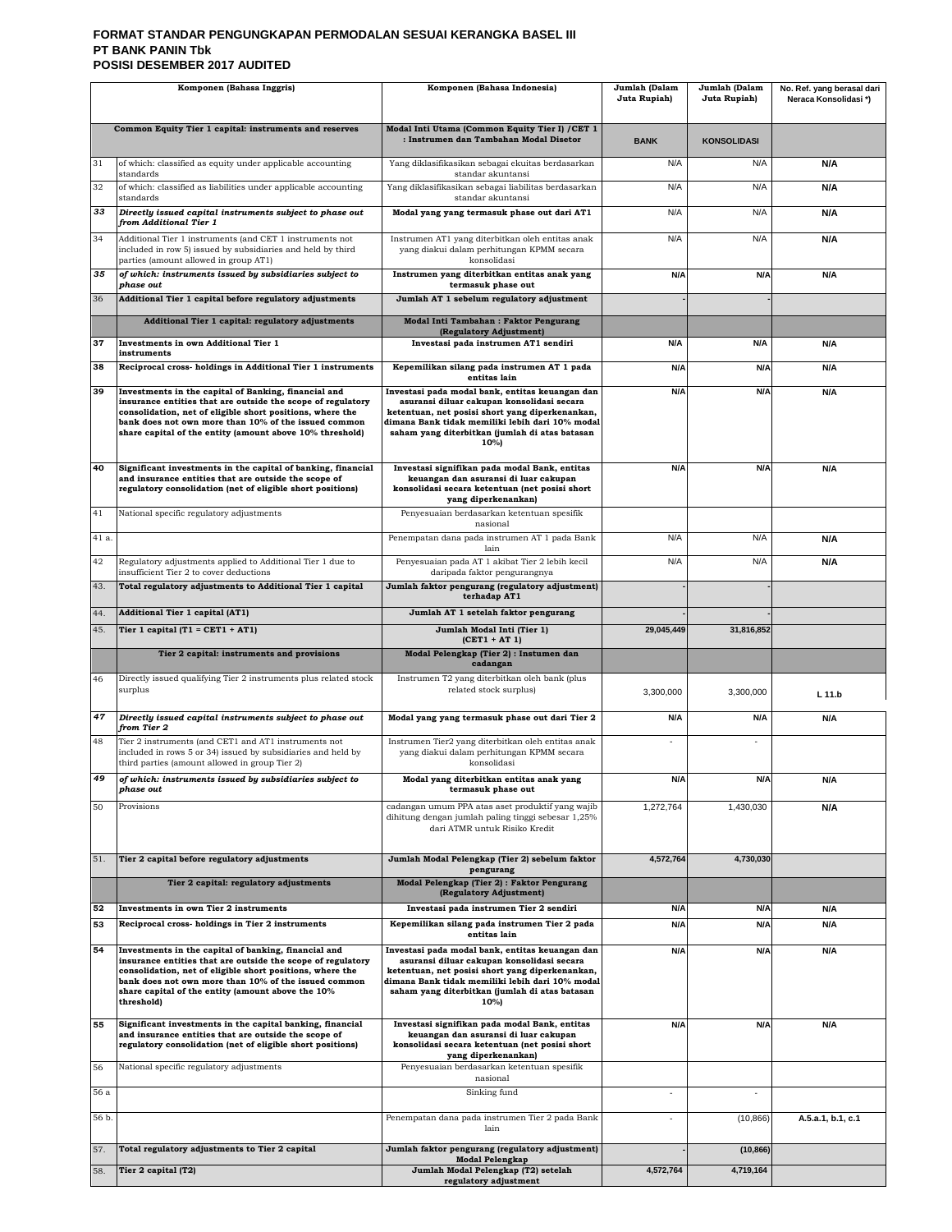#### **FORMAT STANDAR PENGUNGKAPAN PERMODALAN SESUAI KERANGKA BASEL III PT BANK PANIN Tbk POSISI DESEMBER 2017 AUDITED**

| Komponen (Bahasa Inggris) |                                                                                                                                                                                                                                                                                                             | Komponen (Bahasa Indonesia)                                                                                                                                                                                                                                   | Jumlah (Dalam<br>Juta Rupiah) | Jumlah (Dalam<br>Juta Rupiah) | No. Ref. yang berasal dari<br>Neraca Konsolidasi*) |
|---------------------------|-------------------------------------------------------------------------------------------------------------------------------------------------------------------------------------------------------------------------------------------------------------------------------------------------------------|---------------------------------------------------------------------------------------------------------------------------------------------------------------------------------------------------------------------------------------------------------------|-------------------------------|-------------------------------|----------------------------------------------------|
|                           | Common Equity Tier 1 capital: instruments and reserves                                                                                                                                                                                                                                                      | Modal Inti Utama (Common Equity Tier I) / CET 1<br>: Instrumen dan Tambahan Modal Disetor                                                                                                                                                                     | <b>BANK</b>                   | <b>KONSOLIDASI</b>            |                                                    |
| 31                        | of which: classified as equity under applicable accounting<br>standards                                                                                                                                                                                                                                     | Yang diklasifikasikan sebagai ekuitas berdasarkan<br>standar akuntansi                                                                                                                                                                                        | N/A                           | N/A                           | N/A                                                |
| 32                        | of which: classified as liabilities under applicable accounting<br>standards                                                                                                                                                                                                                                | Yang diklasifikasikan sebagai liabilitas berdasarkan<br>standar akuntansi                                                                                                                                                                                     | N/A                           | N/A                           | N/A                                                |
| 33                        | Directly issued capital instruments subject to phase out<br>from Additional Tier 1                                                                                                                                                                                                                          | Modal yang yang termasuk phase out dari AT1                                                                                                                                                                                                                   | N/A                           | N/A                           | N/A                                                |
| 34                        | Additional Tier 1 instruments (and CET 1 instruments not<br>included in row 5) issued by subsidiaries and held by third                                                                                                                                                                                     | Instrumen AT1 yang diterbitkan oleh entitas anak                                                                                                                                                                                                              | N/A                           | N/A                           | N/A                                                |
|                           | parties (amount allowed in group AT1)                                                                                                                                                                                                                                                                       | yang diakui dalam perhitungan KPMM secara<br>konsolidasi                                                                                                                                                                                                      |                               |                               |                                                    |
| 35                        | of which: instruments issued by subsidiaries subject to<br>phase out                                                                                                                                                                                                                                        | Instrumen yang diterbitkan entitas anak yang<br>termasuk phase out                                                                                                                                                                                            | N/A                           | N/A                           | N/A                                                |
| 36                        | Additional Tier 1 capital before regulatory adjustments                                                                                                                                                                                                                                                     | Jumlah AT 1 sebelum regulatory adjustment                                                                                                                                                                                                                     |                               |                               |                                                    |
| 37                        | Additional Tier 1 capital: regulatory adjustments<br>Investments in own Additional Tier 1                                                                                                                                                                                                                   | Modal Inti Tambahan: Faktor Pengurang<br>(Regulatory Adjustment)<br>Investasi pada instrumen AT1 sendiri                                                                                                                                                      | N/A                           | N/A                           | <b>N/A</b>                                         |
|                           | instruments                                                                                                                                                                                                                                                                                                 |                                                                                                                                                                                                                                                               |                               |                               |                                                    |
| 38                        | Reciprocal cross-holdings in Additional Tier 1 instruments                                                                                                                                                                                                                                                  | Kepemilikan silang pada instrumen AT 1 pada<br>entitas lain                                                                                                                                                                                                   | N/A                           | N/A                           | N/A                                                |
| 39                        | Investments in the capital of Banking, financial and<br>insurance entities that are outside the scope of regulatory<br>consolidation, net of eligible short positions, where the<br>bank does not own more than 10% of the issued common<br>share capital of the entity (amount above 10% threshold)        | Investasi pada modal bank, entitas keuangan dan<br>asuransi diluar cakupan konsolidasi secara<br>ketentuan, net posisi short yang diperkenankan,<br>dimana Bank tidak memiliki lebih dari 10% modal<br>saham yang diterbitkan (jumlah di atas batasan<br>10%) | N/A                           | N/A                           | N/A                                                |
| 40                        | Significant investments in the capital of banking, financial<br>and insurance entities that are outside the scope of<br>regulatory consolidation (net of eligible short positions)                                                                                                                          | Investasi signifikan pada modal Bank, entitas<br>keuangan dan asuransi di luar cakupan<br>konsolidasi secara ketentuan (net posisi short<br>yang diperkenankan)                                                                                               | N/A                           | N/A                           | N/A                                                |
| 41                        | National specific regulatory adjustments                                                                                                                                                                                                                                                                    | Penyesuaian berdasarkan ketentuan spesifik<br>nasional                                                                                                                                                                                                        |                               |                               |                                                    |
| 41 a.                     |                                                                                                                                                                                                                                                                                                             | Penempatan dana pada instrumen AT 1 pada Bank<br>lain                                                                                                                                                                                                         | N/A                           | N/A                           | N/A                                                |
| 42                        | Regulatory adjustments applied to Additional Tier 1 due to<br>insufficient Tier 2 to cover deductions                                                                                                                                                                                                       | Penyesuaian pada AT 1 akibat Tier 2 lebih kecil<br>daripada faktor pengurangnya                                                                                                                                                                               | N/A                           | N/A                           | N/A                                                |
| 43.                       | Total regulatory adjustments to Additional Tier 1 capital                                                                                                                                                                                                                                                   | Jumlah faktor pengurang (regulatory adjustment)<br>terhadap AT1                                                                                                                                                                                               |                               |                               |                                                    |
| 44.                       | <b>Additional Tier 1 capital (AT1)</b>                                                                                                                                                                                                                                                                      | Jumlah AT 1 setelah faktor pengurang                                                                                                                                                                                                                          |                               |                               |                                                    |
| 45.                       | Tier 1 capital $(T1 = CET1 + AT1)$                                                                                                                                                                                                                                                                          | Jumlah Modal Inti (Tier 1)<br>$(CET1 + AT1)$                                                                                                                                                                                                                  | 29,045,449                    | 31,816,852                    |                                                    |
|                           | Tier 2 capital: instruments and provisions                                                                                                                                                                                                                                                                  | Modal Pelengkap (Tier 2) : Instumen dan<br>cadangan                                                                                                                                                                                                           |                               |                               |                                                    |
| 46                        | Directly issued qualifying Tier 2 instruments plus related stock<br>surplus                                                                                                                                                                                                                                 | Instrumen T2 yang diterbitkan oleh bank (plus<br>related stock surplus)                                                                                                                                                                                       | 3,300,000                     | 3,300,000                     | L 11.b                                             |
| 47                        | Directly issued capital instruments subject to phase out<br>from Tier 2                                                                                                                                                                                                                                     | Modal yang yang termasuk phase out dari Tier 2                                                                                                                                                                                                                | N/A                           | N/A                           | N/A                                                |
| 48                        | Tier 2 instruments (and CET1 and AT1 instruments not<br>included in rows 5 or 34) issued by subsidiaries and held by<br>third parties (amount allowed in group Tier 2)                                                                                                                                      | Instrumen Tier2 yang diterbitkan oleh entitas anak<br>yang diakui dalam perhitungan KPMM secara<br>konsolidasi                                                                                                                                                |                               |                               |                                                    |
|                           | of which: instruments issued by subsidiaries subject to<br>phase out                                                                                                                                                                                                                                        | Modal yang diterbitkan entitas anak yang<br>termasuk phase out                                                                                                                                                                                                | N/A                           |                               | N/A                                                |
| 50                        | Provisions                                                                                                                                                                                                                                                                                                  | cadangan umum PPA atas aset produktif yang wajib<br>dihitung dengan jumlah paling tinggi sebesar 1,25%<br>dari ATMR untuk Risiko Kredit                                                                                                                       | 1,272,764                     | 1,430,030                     | N/A                                                |
| 51.                       | Tier 2 capital before regulatory adjustments                                                                                                                                                                                                                                                                | Jumlah Modal Pelengkap (Tier 2) sebelum faktor<br>pengurang                                                                                                                                                                                                   | 4,572,764                     | 4,730,030                     |                                                    |
|                           | Tier 2 capital: regulatory adjustments                                                                                                                                                                                                                                                                      | Modal Pelengkap (Tier 2) : Faktor Pengurang<br>(Regulatory Adjustment)                                                                                                                                                                                        |                               |                               |                                                    |
| 52                        | Investments in own Tier 2 instruments                                                                                                                                                                                                                                                                       | Investasi pada instrumen Tier 2 sendiri                                                                                                                                                                                                                       | N/A                           | N/A                           | N/A                                                |
| 53                        | Reciprocal cross-holdings in Tier 2 instruments                                                                                                                                                                                                                                                             | Kepemilikan silang pada instrumen Tier 2 pada<br>entitas lain                                                                                                                                                                                                 | N/A                           | N/A                           | N/A                                                |
| 54                        | Investments in the capital of banking, financial and<br>insurance entities that are outside the scope of regulatory<br>consolidation, net of eligible short positions, where the<br>bank does not own more than 10% of the issued common<br>share capital of the entity (amount above the 10%<br>threshold) | Investasi pada modal bank, entitas keuangan dan<br>asuransi diluar cakupan konsolidasi secara<br>ketentuan, net posisi short yang diperkenankan,<br>dimana Bank tidak memiliki lebih dari 10% modal<br>saham yang diterbitkan (jumlah di atas batasan<br>10%) | N/A                           | N/A                           | N/A                                                |
| 55                        | Significant investments in the capital banking, financial<br>and insurance entities that are outside the scope of<br>regulatory consolidation (net of eligible short positions)                                                                                                                             | Investasi signifikan pada modal Bank, entitas<br>keuangan dan asuransi di luar cakupan<br>konsolidasi secara ketentuan (net posisi short<br>yang diperkenankan)                                                                                               | N/A                           | N/A                           | N/A                                                |
| 56                        | National specific regulatory adjustments                                                                                                                                                                                                                                                                    | Penyesuaian berdasarkan ketentuan spesifik<br>nasional                                                                                                                                                                                                        |                               |                               |                                                    |
| 56 a                      |                                                                                                                                                                                                                                                                                                             | Sinking fund                                                                                                                                                                                                                                                  |                               | ä,                            |                                                    |
| 56 b.                     |                                                                                                                                                                                                                                                                                                             | Penempatan dana pada instrumen Tier 2 pada Bank<br>lain                                                                                                                                                                                                       | ä,                            | (10, 866)                     | A.5.a.1, b.1, c.1                                  |
| 57.                       | Total regulatory adjustments to Tier 2 capital                                                                                                                                                                                                                                                              | Jumlah faktor pengurang (regulatory adjustment)<br><b>Modal Pelengkap</b>                                                                                                                                                                                     |                               | (10, 866)                     |                                                    |
| 58.                       | Tier 2 capital (T2)                                                                                                                                                                                                                                                                                         | Jumlah Modal Pelengkap (T2) setelah<br>regulatory adjustment                                                                                                                                                                                                  | 4,572,764                     | 4,719,164                     |                                                    |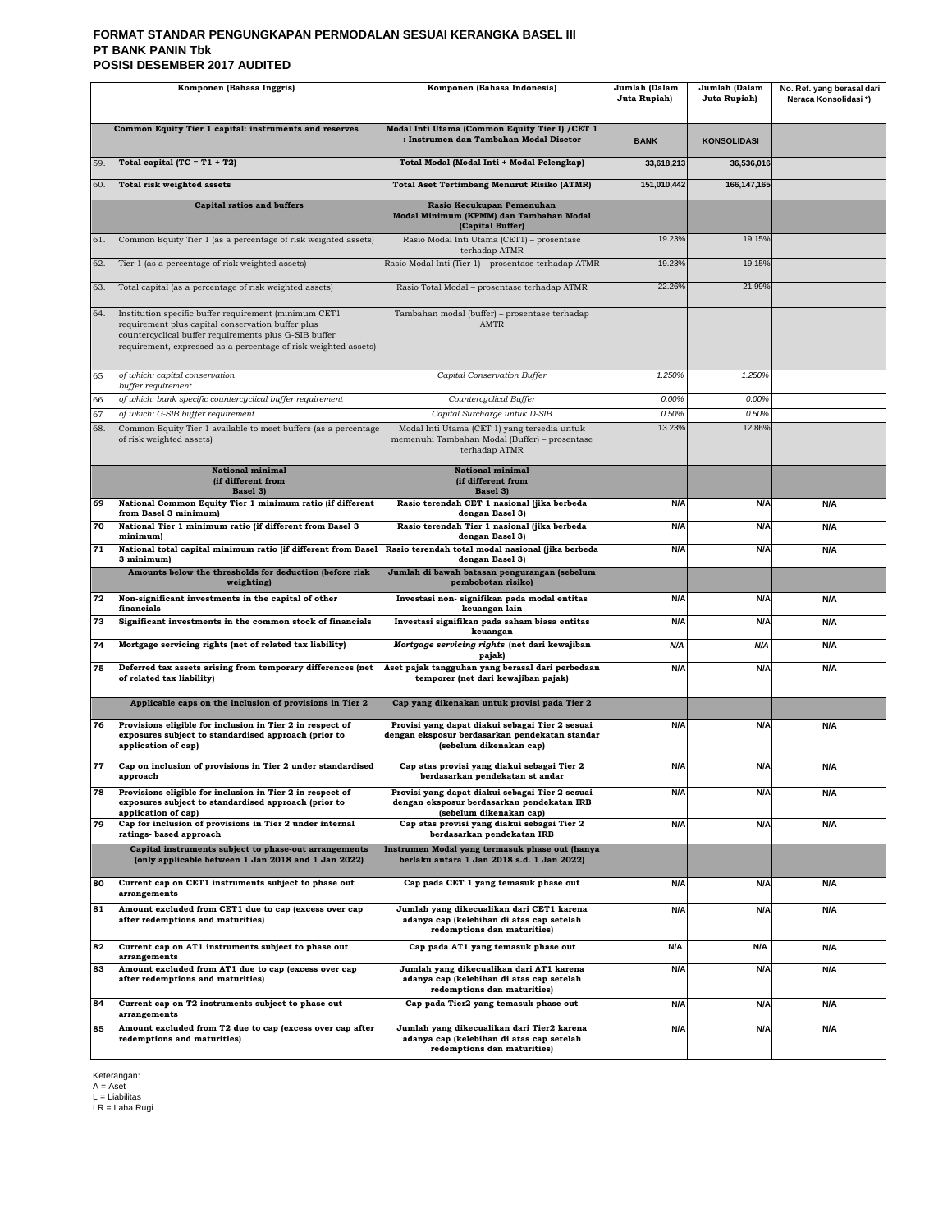#### **FORMAT STANDAR PENGUNGKAPAN PERMODALAN SESUAI KERANGKA BASEL III PT BANK PANIN Tbk POSISI DESEMBER 2017 AUDITED**

| Komponen (Bahasa Inggris) |                                                                                                                                                                                                                                        | Komponen (Bahasa Indonesia)                                                                                                  | Jumlah (Dalam<br>Juta Rupiah) | Jumlah (Dalam<br>Juta Rupiah) | No. Ref. yang berasal dari<br>Neraca Konsolidasi*) |
|---------------------------|----------------------------------------------------------------------------------------------------------------------------------------------------------------------------------------------------------------------------------------|------------------------------------------------------------------------------------------------------------------------------|-------------------------------|-------------------------------|----------------------------------------------------|
|                           | Common Equity Tier 1 capital: instruments and reserves                                                                                                                                                                                 | Modal Inti Utama (Common Equity Tier I) / CET 1<br>: Instrumen dan Tambahan Modal Disetor                                    | <b>BANK</b>                   | <b>KONSOLIDASI</b>            |                                                    |
| 59.                       | Total capital (TC = $T1 + T2$ )                                                                                                                                                                                                        | Total Modal (Modal Inti + Modal Pelengkap)                                                                                   | 33,618,213                    | 36,536,016                    |                                                    |
| 60.                       | Total risk weighted assets                                                                                                                                                                                                             | <b>Total Aset Tertimbang Menurut Risiko (ATMR)</b>                                                                           | 151,010,442                   | 166, 147, 165                 |                                                    |
|                           | <b>Capital ratios and buffers</b>                                                                                                                                                                                                      | Rasio Kecukupan Pemenuhan<br>Modal Minimum (KPMM) dan Tambahan Modal<br>(Capital Buffer)                                     |                               |                               |                                                    |
| 61.                       | Common Equity Tier 1 (as a percentage of risk weighted assets)                                                                                                                                                                         | Rasio Modal Inti Utama (CET1) - prosentase<br>terhadap ATMR                                                                  | 19.23%                        | 19.15%                        |                                                    |
| 62.                       | Tier 1 (as a percentage of risk weighted assets)                                                                                                                                                                                       | Rasio Modal Inti (Tier 1) - prosentase terhadap ATMR                                                                         | 19.23%                        | 19.15%                        |                                                    |
| 63.                       | Total capital (as a percentage of risk weighted assets)                                                                                                                                                                                | Rasio Total Modal - prosentase terhadap ATMR                                                                                 | 22.26%                        | 21.99%                        |                                                    |
| 64.                       | Institution specific buffer requirement (minimum CET1<br>requirement plus capital conservation buffer plus<br>countercyclical buffer requirements plus G-SIB buffer<br>requirement, expressed as a percentage of risk weighted assets) | Tambahan modal (buffer) - prosentase terhadap<br>AMTR                                                                        |                               |                               |                                                    |
| 65                        | of which: capital conservation<br>buffer requirement                                                                                                                                                                                   | Capital Conservation Buffer                                                                                                  | 1.250%                        | 1.250%                        |                                                    |
| 66                        | of which: bank specific countercyclical buffer requirement                                                                                                                                                                             | Countercyclical Buffer                                                                                                       | 0.00%                         | 0.00%                         |                                                    |
| 67<br>68.                 | of which: G-SIB buffer requirement                                                                                                                                                                                                     | Capital Surcharge untuk D-SIB                                                                                                | 0.50%<br>13.23%               | 0.50%<br>12.86%               |                                                    |
|                           | Common Equity Tier 1 available to meet buffers (as a percentage<br>of risk weighted assets)                                                                                                                                            | Modal Inti Utama (CET 1) yang tersedia untuk<br>memenuhi Tambahan Modal (Buffer) - prosentase<br>terhadap ATMR               |                               |                               |                                                    |
|                           | <b>National minimal</b><br>(if different from<br>Basel 3)                                                                                                                                                                              | <b>National minimal</b><br>(if different from<br>Basel 3)                                                                    |                               |                               |                                                    |
| 69                        | National Common Equity Tier 1 minimum ratio (if different<br>from Basel 3 minimum)                                                                                                                                                     | Rasio terendah CET 1 nasional (jika berbeda<br>dengan Basel 3)                                                               | N/A                           | N/A                           | N/A                                                |
| 70                        | National Tier 1 minimum ratio (if different from Basel 3<br>minimum)                                                                                                                                                                   | Rasio terendah Tier 1 nasional (jika berbeda<br>dengan Basel 3)                                                              | N/A                           | N/A                           | N/A                                                |
| 71                        | National total capital minimum ratio (if different from Basel<br>3 minimum)                                                                                                                                                            | Rasio terendah total modal nasional (jika berbeda<br>dengan Basel 3)                                                         | N/A                           | N/A                           | N/A                                                |
|                           | Amounts below the thresholds for deduction (before risk<br>weighting)                                                                                                                                                                  | Jumlah di bawah batasan pengurangan (sebelum<br>pembobotan risiko)                                                           |                               |                               |                                                    |
| 72                        | Non-significant investments in the capital of other<br>financials                                                                                                                                                                      | Investasi non- signifikan pada modal entitas<br>keuangan lain                                                                | N/A                           | N/A                           | N/A                                                |
| 73                        | Significant investments in the common stock of financials                                                                                                                                                                              | Investasi signifikan pada saham biasa entitas<br>keuangan                                                                    | N/A                           | N/A                           | <b>N/A</b>                                         |
| 74                        | Mortgage servicing rights (net of related tax liability)                                                                                                                                                                               | Mortgage servicing rights (net dari kewajiban                                                                                | N/A                           | N/A                           | N/A                                                |
| 75                        | Deferred tax assets arising from temporary differences (net<br>of related tax liability)                                                                                                                                               | pajak)<br>Aset pajak tangguhan yang berasal dari perbedaan<br>temporer (net dari kewajiban pajak)                            | N/A                           | N/A                           | N/A                                                |
|                           | Applicable caps on the inclusion of provisions in Tier 2                                                                                                                                                                               | Cap yang dikenakan untuk provisi pada Tier 2                                                                                 |                               |                               |                                                    |
| 76                        | Provisions eligible for inclusion in Tier 2 in respect of<br>exposures subject to standardised approach (prior to<br>application of cap)                                                                                               | Provisi yang dapat diakui sebagai Tier 2 sesuai<br>dengan eksposur berdasarkan pendekatan standar<br>(sebelum dikenakan cap) | N/A                           | N/A                           | N/A                                                |
| 77                        | Cap on inclusion of provisions in Tier 2 under standardised<br>approach                                                                                                                                                                | Cap atas provisi yang diakui sebagai Tier 2<br>berdasarkan pendekatan st andar                                               | N/A                           | N/A                           | N/A                                                |
| 78                        | Provisions eligible for inclusion in Tier 2 in respect of<br>exposures subject to standardised approach (prior to<br>application of cap)                                                                                               | Provisi yang dapat diakui sebagai Tier 2 sesuai<br>dengan eksposur berdasarkan pendekatan IRB<br>(sebelum dikenakan cap)     | N/A                           | N/A                           | N/A                                                |
| 79                        | Cap for inclusion of provisions in Tier 2 under internal<br>ratings- based approach                                                                                                                                                    | Cap atas provisi yang diakui sebagai Tier 2<br>berdasarkan pendekatan IRB                                                    | N/A                           | N/A                           | N/A                                                |
|                           | Capital instruments subject to phase-out arrangements<br>(only applicable between 1 Jan 2018 and 1 Jan 2022)                                                                                                                           | Instrumen Modal yang termasuk phase out (hanya<br>berlaku antara 1 Jan 2018 s.d. 1 Jan 2022)                                 |                               |                               |                                                    |
| 80                        | Current cap on CET1 instruments subject to phase out<br>arrangements                                                                                                                                                                   | Cap pada CET 1 yang temasuk phase out                                                                                        | N/A                           | N/A                           | N/A                                                |
| 81                        | Amount excluded from CET1 due to cap (excess over cap<br>after redemptions and maturities)                                                                                                                                             | Jumlah yang dikecualikan dari CET1 karena<br>adanya cap (kelebihan di atas cap setelah<br>redemptions dan maturities)        | N/A                           | N/A                           | N/A                                                |
| 82                        | Current cap on AT1 instruments subject to phase out<br>arrangements                                                                                                                                                                    | Cap pada AT1 yang temasuk phase out                                                                                          | N/A                           | N/A                           | N/A                                                |
| 83                        | Amount excluded from AT1 due to cap (excess over cap<br>after redemptions and maturities)                                                                                                                                              | Jumlah yang dikecualikan dari AT1 karena<br>adanya cap (kelebihan di atas cap setelah<br>redemptions dan maturities)         | N/A                           | N/A                           | N/A                                                |
| 84                        | Current cap on T2 instruments subject to phase out<br>arrangements                                                                                                                                                                     | Cap pada Tier2 yang temasuk phase out                                                                                        | N/A                           | N/A                           | N/A                                                |
| 85                        | Amount excluded from T2 due to cap (excess over cap after<br>redemptions and maturities)                                                                                                                                               | Jumlah yang dikecualikan dari Tier2 karena<br>adanya cap (kelebihan di atas cap setelah<br>redemptions dan maturities)       | N/A                           | N/A                           | N/A                                                |

Keterangan: A = Aset L = Liabilitas LR = Laba Rugi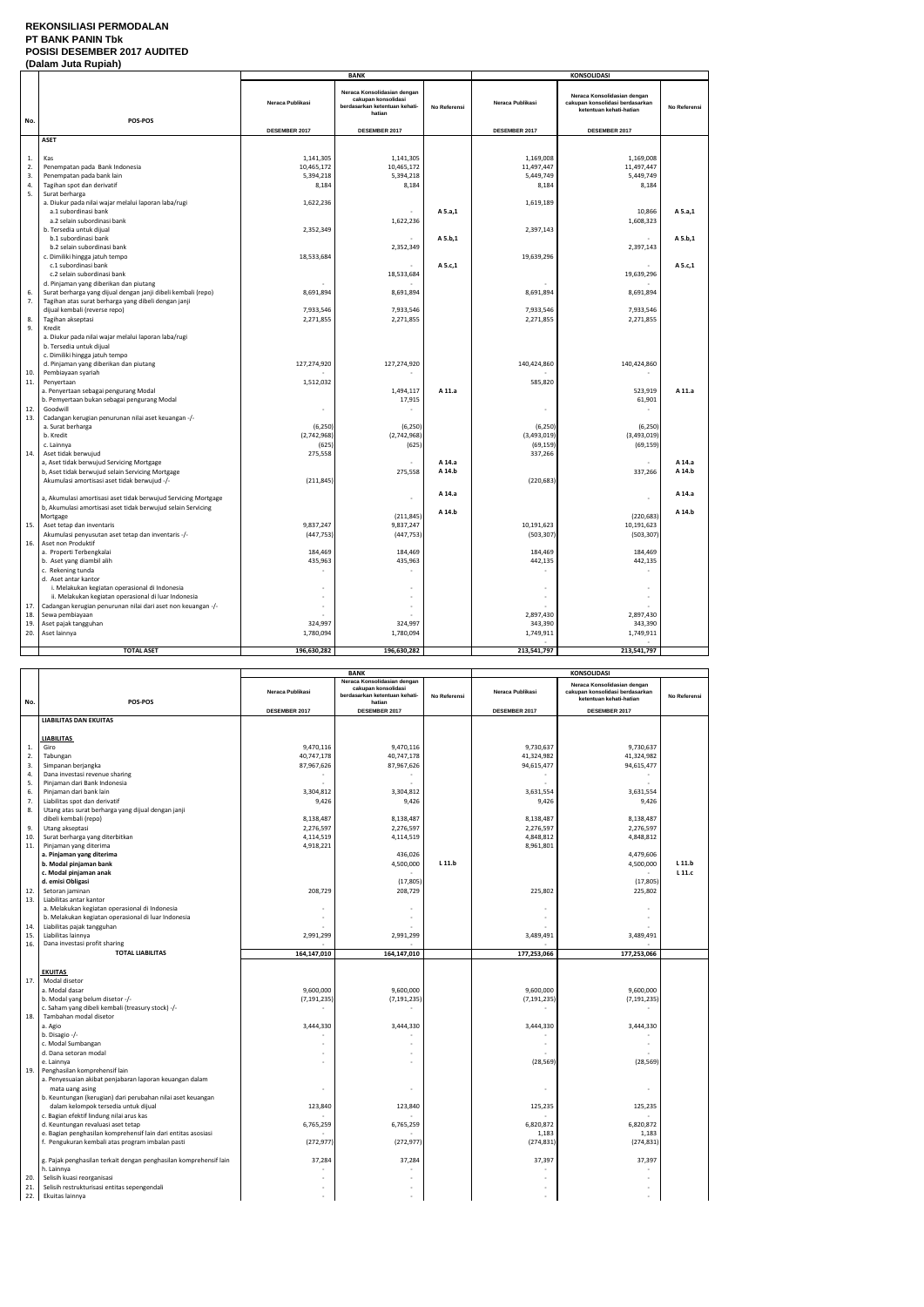### **REKONSILIASI PERMODALAN PT BANK PANIN Tbk POSISI DESEMBER 2017 AUDITED (Dalam Juta Rupiah)**

|     | (Dalam Jula Rupian                                             |                  |                                                                                               |              |                  |                                                                                           |              |
|-----|----------------------------------------------------------------|------------------|-----------------------------------------------------------------------------------------------|--------------|------------------|-------------------------------------------------------------------------------------------|--------------|
|     |                                                                |                  | <b>BANK</b>                                                                                   |              |                  | <b>KONSOLIDASI</b>                                                                        |              |
|     |                                                                | Neraca Publikasi | Neraca Konsolidasian dengan<br>cakupan konsolidasi<br>berdasarkan ketentuan kehati-<br>hatian | No Referensi | Neraca Publikasi | Neraca Konsolidasian dengan<br>cakupan konsolidasi berdasarkan<br>ketentuan kehati-hatian | No Referensi |
| No. | POS-POS                                                        | DESEMBER 2017    | DESEMBER 2017                                                                                 |              | DESEMBER 2017    | DESEMBER 2017                                                                             |              |
|     | <b>ASET</b>                                                    |                  |                                                                                               |              |                  |                                                                                           |              |
|     |                                                                |                  |                                                                                               |              |                  |                                                                                           |              |
| 1.  |                                                                | 1,141,305        |                                                                                               |              | 1,169,008        | 1,169,008                                                                                 |              |
| 2.  | Kas                                                            | 10,465,172       | 1,141,305                                                                                     |              | 11,497,447       |                                                                                           |              |
| 3.  | Penempatan pada Bank Indonesia<br>Penempatan pada bank lain    | 5,394,218        | 10,465,172<br>5,394,218                                                                       |              | 5,449,749        | 11,497,447<br>5,449,749                                                                   |              |
| 4.  | Tagihan spot dan derivatif                                     | 8,184            | 8,184                                                                                         |              | 8,184            | 8,184                                                                                     |              |
| 5.  | Surat berharga                                                 |                  |                                                                                               |              |                  |                                                                                           |              |
|     | a. Diukur pada nilai wajar melalui laporan laba/rugi           | 1,622,236        |                                                                                               |              | 1,619,189        |                                                                                           |              |
|     | a.1 subordinasi bank                                           |                  |                                                                                               | A 5.a,1      |                  | 10,866                                                                                    | A 5.a,1      |
|     | a.2 selain subordinasi bank                                    |                  | 1,622,236                                                                                     |              |                  | 1,608,323                                                                                 |              |
|     | b. Tersedia untuk dijual                                       | 2,352,349        |                                                                                               |              | 2,397,143        |                                                                                           |              |
|     | b.1 subordinasi bank                                           |                  |                                                                                               | A 5.b,1      |                  |                                                                                           | A 5.b,1      |
|     | b.2 selain subordinasi bank                                    |                  | 2,352,349                                                                                     |              |                  | 2,397,143                                                                                 |              |
|     | c. Dimiliki hingga jatuh tempo                                 | 18,533,684       |                                                                                               |              | 19,639,296       |                                                                                           |              |
|     | c.1 subordinasi bank                                           |                  |                                                                                               | A 5.c,1      |                  |                                                                                           | A 5.c,1      |
|     | c.2 selain subordinasi bank                                    |                  | 18,533,684                                                                                    |              |                  | 19,639,296                                                                                |              |
|     | d. Pinjaman yang diberikan dan piutang                         |                  |                                                                                               |              |                  |                                                                                           |              |
| 6.  | Surat berharga yang dijual dengan janji dibeli kembali (repo)  | 8,691,894        | 8,691,894                                                                                     |              | 8,691,894        | 8,691,894                                                                                 |              |
| 7.  | Tagihan atas surat berharga yang dibeli dengan janji           |                  |                                                                                               |              |                  |                                                                                           |              |
|     | dijual kembali (reverse repo)                                  | 7,933,546        | 7,933,546                                                                                     |              | 7,933,546        | 7,933,546                                                                                 |              |
| 8.  | Tagihan akseptasi                                              | 2,271,855        | 2,271,855                                                                                     |              | 2,271,855        | 2,271,855                                                                                 |              |
| 9.  | Kredit                                                         |                  |                                                                                               |              |                  |                                                                                           |              |
|     | a. Diukur pada nilai wajar melalui laporan laba/rugi           |                  |                                                                                               |              |                  |                                                                                           |              |
|     | b. Tersedia untuk dijual                                       |                  |                                                                                               |              |                  |                                                                                           |              |
|     | c. Dimiliki hingga jatuh tempo                                 |                  |                                                                                               |              |                  |                                                                                           |              |
|     | d. Pinjaman yang diberikan dan piutang                         | 127,274,920      | 127,274,920                                                                                   |              | 140,424,860      | 140,424,860                                                                               |              |
| 10. | Pembiayaan syariah                                             |                  |                                                                                               |              |                  |                                                                                           |              |
| 11. | Penyertaan                                                     | 1,512,032        |                                                                                               |              | 585,820          |                                                                                           |              |
|     | a. Penyertaan sebagai pengurang Modal                          |                  | 1,494,117                                                                                     | A 11.a       |                  | 523,919                                                                                   | A 11.a       |
|     | b. Pemyertaan bukan sebagai pengurang Modal                    |                  | 17,915                                                                                        |              |                  | 61,901                                                                                    |              |
| 12. | Goodwill                                                       |                  |                                                                                               |              |                  |                                                                                           |              |
| 13. | Cadangan kerugian penurunan nilai aset keuangan -/-            |                  |                                                                                               |              |                  |                                                                                           |              |
|     | a. Surat berharga                                              | (6, 250)         | (6, 250)                                                                                      |              | (6, 250)         | (6, 250)                                                                                  |              |
|     | b. Kredit                                                      | (2,742,968)      | (2,742,968)                                                                                   |              | (3,493,019)      | (3,493,019)                                                                               |              |
|     | c. Lainnya                                                     | (625)            | (625)                                                                                         |              | (69, 159)        | (69, 159)                                                                                 |              |
| 14. | Aset tidak berwujud                                            | 275,558          |                                                                                               |              | 337,266          |                                                                                           |              |
|     | a, Aset tidak berwujud Servicing Mortgage                      |                  |                                                                                               | A 14.a       |                  |                                                                                           | A 14.a       |
|     | b, Aset tidak berwujud selain Servicing Mortgage               |                  | 275,558                                                                                       | A 14.b       |                  | 337,266                                                                                   | A 14.b       |
|     | Akumulasi amortisasi aset tidak berwujud -/-                   | (211, 845)       |                                                                                               |              | (220, 683)       |                                                                                           |              |
|     | a, Akumulasi amortisasi aset tidak berwujud Servicing Mortgage |                  | ä,                                                                                            | A 14.a       |                  |                                                                                           | A 14.a       |
|     | b, Akumulasi amortisasi aset tidak berwujud selain Servicing   |                  |                                                                                               |              |                  |                                                                                           |              |
|     | Mortgage                                                       |                  | (211, 845)                                                                                    | A 14.b       |                  | (220, 683)                                                                                | A 14.b       |
| 15. | Aset tetap dan inventaris                                      | 9,837,247        | 9,837,247                                                                                     |              | 10,191,623       | 10,191,623                                                                                |              |
|     | Akumulasi penyusutan aset tetap dan inventaris -/-             | (447, 753)       | (447, 753)                                                                                    |              | (503, 307)       | (503, 307)                                                                                |              |
| 16. | Aset non Produktif                                             |                  |                                                                                               |              |                  |                                                                                           |              |
|     | a. Properti Terbengkalai                                       | 184,469          | 184,469                                                                                       |              | 184,469          | 184,469                                                                                   |              |
|     | b. Aset yang diambil alih                                      | 435,963          | 435,963                                                                                       |              | 442,135          | 442,135                                                                                   |              |
|     | c. Rekening tunda                                              |                  |                                                                                               |              |                  |                                                                                           |              |
|     | d. Aset antar kantor                                           |                  |                                                                                               |              |                  |                                                                                           |              |
|     | i. Melakukan kegiatan operasional di Indonesia                 |                  |                                                                                               |              |                  |                                                                                           |              |
|     | ii. Melakukan kegiatan operasional di luar Indonesia           |                  |                                                                                               |              |                  |                                                                                           |              |
| 17. | Cadangan kerugian penurunan nilai dari aset non keuangan -/-   |                  | ٠                                                                                             |              |                  |                                                                                           |              |
| 18. | Sewa pembiayaan                                                |                  |                                                                                               |              | 2,897,430        | 2,897,430                                                                                 |              |
| 19. | Aset pajak tangguhan                                           | 324,997          | 324,997                                                                                       |              | 343,390          | 343,390                                                                                   |              |
| 20. | Aset lainnya                                                   | 1,780,094        | 1,780,094                                                                                     |              | 1,749,911        | 1,749,911                                                                                 |              |
|     |                                                                |                  |                                                                                               |              |                  |                                                                                           |              |
|     | <b>TOTAL ASET</b>                                              | 196,630,282      | 196,630,282                                                                                   |              | 213,541,797      | 213,541,797                                                                               |              |

|     |                                                                   | <b>BANK</b>      |                                                                                               | <b>KONSOLIDASI</b> |                  |                                                                                           |              |
|-----|-------------------------------------------------------------------|------------------|-----------------------------------------------------------------------------------------------|--------------------|------------------|-------------------------------------------------------------------------------------------|--------------|
| No. | POS-POS                                                           | Neraca Publikasi | Neraca Konsolidasian dengan<br>cakupan konsolidasi<br>berdasarkan ketentuan kehati-<br>hatian | No Referensi       | Neraca Publikasi | Neraca Konsolidasian dengan<br>cakupan konsolidasi berdasarkan<br>ketentuan kehati-hatian | No Referensi |
|     |                                                                   | DESEMBER 2017    | DESEMBER 2017                                                                                 |                    | DESEMBER 2017    | DESEMBER 2017                                                                             |              |
|     | <b>LIABILITAS DAN EKUITAS</b>                                     |                  |                                                                                               |                    |                  |                                                                                           |              |
|     |                                                                   |                  |                                                                                               |                    |                  |                                                                                           |              |
|     | <b>LIABILITAS</b>                                                 |                  |                                                                                               |                    |                  |                                                                                           |              |
| 1.  | Giro                                                              | 9,470,116        | 9.470.116                                                                                     |                    | 9,730,637        | 9,730,637                                                                                 |              |
| 2.  | Tabungan                                                          | 40,747,178       | 40,747,178                                                                                    |                    | 41,324,982       | 41,324,982                                                                                |              |
| 3.  | Simpanan berjangka                                                | 87,967,626       | 87,967,626                                                                                    |                    | 94,615,477       | 94,615,477                                                                                |              |
| 4.  | Dana investasi revenue sharing                                    |                  |                                                                                               |                    |                  |                                                                                           |              |
| 5.  | Pinjaman dari Bank Indonesia                                      |                  |                                                                                               |                    |                  |                                                                                           |              |
| 6.  | Pinjaman dari bank lain                                           | 3,304,812        | 3,304,812                                                                                     |                    | 3,631,554        | 3,631,554                                                                                 |              |
| 7.  | Liabilitas spot dan derivatif                                     | 9,426            | 9,426                                                                                         |                    | 9,426            | 9,426                                                                                     |              |
| 8.  | Utang atas surat berharga yang dijual dengan janji                |                  |                                                                                               |                    |                  |                                                                                           |              |
|     | dibeli kembali (repo)                                             | 8,138,487        | 8,138,487                                                                                     |                    | 8,138,487        | 8,138,487                                                                                 |              |
| 9.  | Utang akseptasi                                                   | 2,276,597        | 2,276,597                                                                                     |                    | 2,276,597        | 2,276,597                                                                                 |              |
| 10. | Surat berharga yang diterbitkan                                   | 4,114,519        | 4,114,519                                                                                     |                    | 4,848,812        | 4,848,812                                                                                 |              |
| 11. | Pinjaman yang diterima                                            | 4,918,221        |                                                                                               |                    | 8,961,801        |                                                                                           |              |
|     | a. Pinjaman yang diterima                                         |                  | 436,026                                                                                       |                    |                  | 4,479,606                                                                                 |              |
|     | b. Modal pinjaman bank                                            |                  | 4,500,000                                                                                     | L 11.b             |                  | 4,500,000                                                                                 | $L$ 11.b     |
|     | c. Modal pinjaman anak                                            |                  |                                                                                               |                    |                  |                                                                                           | L 11.c       |
|     | d. emisi Obligasi                                                 |                  | (17, 805)                                                                                     |                    |                  | (17, 805)                                                                                 |              |
| 12. | Setoran jaminan                                                   | 208,729          | 208,729                                                                                       |                    | 225,802          | 225,802                                                                                   |              |
| 13. | Liabilitas antar kantor                                           |                  |                                                                                               |                    |                  |                                                                                           |              |
|     | a. Melakukan kegiatan operasional di Indonesia                    |                  |                                                                                               |                    |                  |                                                                                           |              |
|     | b. Melakukan kegiatan operasional di luar Indonesia               |                  |                                                                                               |                    |                  |                                                                                           |              |
| 14. | Liabilitas pajak tangguhan                                        |                  |                                                                                               |                    |                  |                                                                                           |              |
| 15. | Liabilitas lainnya                                                | 2,991,299        | 2,991,299                                                                                     |                    | 3,489,491        | 3,489,491                                                                                 |              |
| 16. | Dana investasi profit sharing                                     |                  |                                                                                               |                    |                  |                                                                                           |              |
|     | <b>TOTAL LIABILITAS</b>                                           | 164,147,010      | 164,147,010                                                                                   |                    | 177,253,066      | 177,253,066                                                                               |              |
|     |                                                                   |                  |                                                                                               |                    |                  |                                                                                           |              |
|     | <b>EKUITAS</b>                                                    |                  |                                                                                               |                    |                  |                                                                                           |              |
| 17. | Modal disetor                                                     |                  |                                                                                               |                    |                  |                                                                                           |              |
|     | a. Modal dasar                                                    | 9,600,000        | 9,600,000                                                                                     |                    | 9,600,000        | 9,600,000                                                                                 |              |
|     | b. Modal yang belum disetor -/-                                   | (7, 191, 235)    | (7, 191, 235)                                                                                 |                    | (7, 191, 235)    | (7, 191, 235)                                                                             |              |
|     | c. Saham yang dibeli kembali (treasury stock) -/-                 | $\overline{a}$   |                                                                                               |                    |                  |                                                                                           |              |
| 18. | Tambahan modal disetor                                            |                  |                                                                                               |                    |                  |                                                                                           |              |
|     | a. Agio                                                           | 3,444,330        | 3,444,330                                                                                     |                    | 3,444,330        | 3,444,330                                                                                 |              |
|     | b. Disagio -/-                                                    |                  |                                                                                               |                    |                  |                                                                                           |              |
|     | c. Modal Sumbangan                                                |                  |                                                                                               |                    |                  |                                                                                           |              |
|     | d. Dana setoran modal                                             |                  |                                                                                               |                    |                  |                                                                                           |              |
|     | e. Lainnya                                                        |                  |                                                                                               |                    | (28, 569)        | (28, 569)                                                                                 |              |
| 19. | Penghasilan komprehensif lain                                     |                  |                                                                                               |                    |                  |                                                                                           |              |
|     | a. Penyesuaian akibat penjabaran laporan keuangan dalam           |                  |                                                                                               |                    |                  |                                                                                           |              |
|     | mata uang asing                                                   |                  |                                                                                               |                    |                  |                                                                                           |              |
|     | b. Keuntungan (kerugian) dari perubahan nilai aset keuangan       |                  |                                                                                               |                    |                  |                                                                                           |              |
|     | dalam kelompok tersedia untuk dijual                              | 123,840          | 123,840                                                                                       |                    | 125,235          | 125,235                                                                                   |              |
|     | c. Bagian efektif lindung nilai arus kas                          |                  |                                                                                               |                    |                  |                                                                                           |              |
|     | d. Keuntungan revaluasi aset tetap                                | 6,765,259        | 6,765,259                                                                                     |                    | 6,820,872        | 6,820,872                                                                                 |              |
|     | e. Bagian penghasilan komprehensif lain dari entitas asosiasi     |                  |                                                                                               |                    | 1,183            | 1,183                                                                                     |              |
|     | f. Pengukuran kembali atas program imbalan pasti                  | (272, 977)       | (272, 977)                                                                                    |                    | (274, 831)       | (274, 831)                                                                                |              |
|     |                                                                   |                  |                                                                                               |                    |                  |                                                                                           |              |
|     | g. Pajak penghasilan terkait dengan penghasilan komprehensif lain | 37,284           | 37,284                                                                                        |                    | 37,397           | 37,397                                                                                    |              |
|     | h. Lainnya                                                        |                  |                                                                                               |                    |                  |                                                                                           |              |
| 20. | Selisih kuasi reorganisasi                                        |                  |                                                                                               |                    |                  |                                                                                           |              |
| 21. | Selisih restrukturisasi entitas sepengendali                      |                  |                                                                                               |                    |                  |                                                                                           |              |
| 22. | Ekuitas lainnya                                                   |                  |                                                                                               |                    |                  |                                                                                           |              |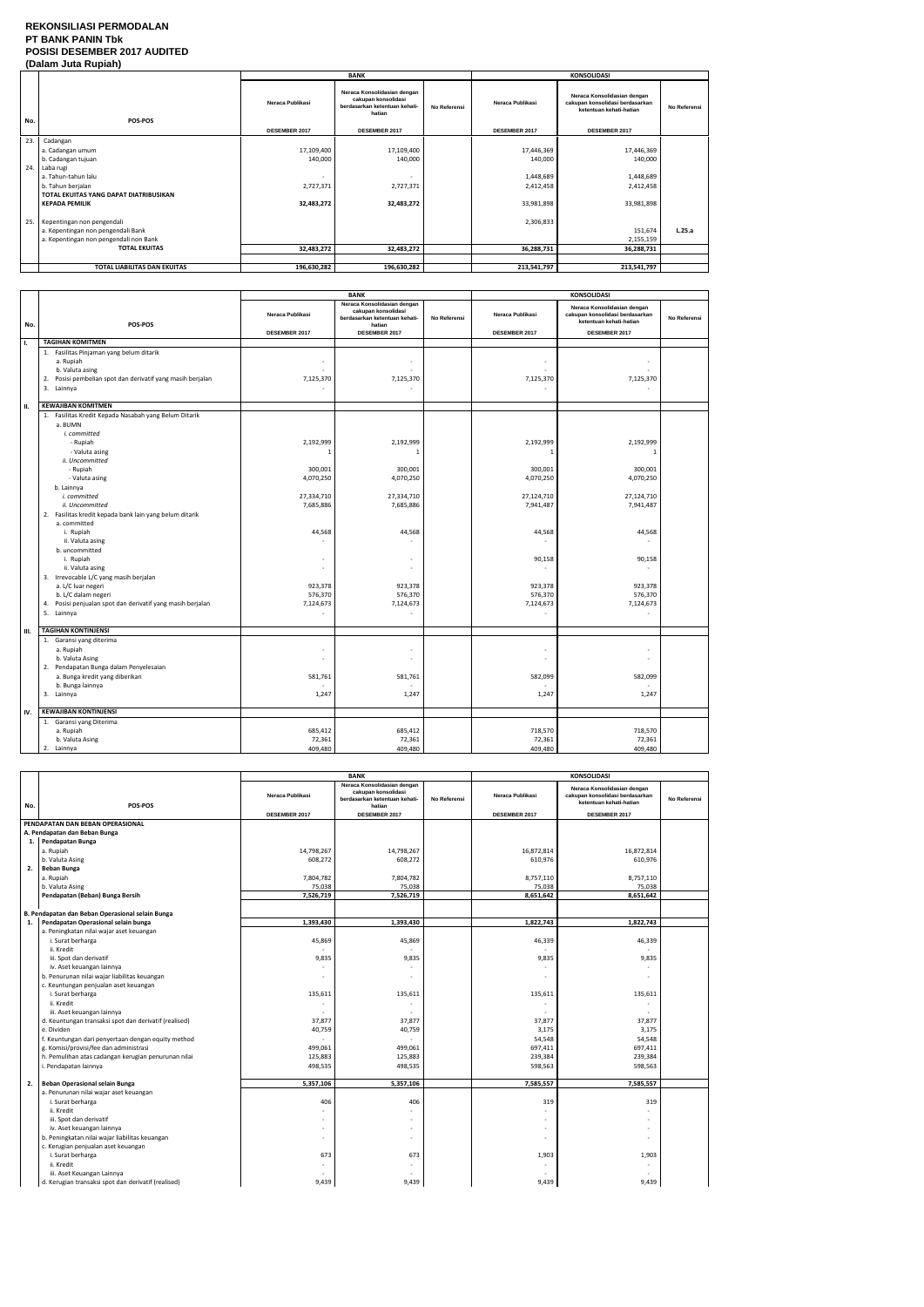### **REKONSILIASI PERMODALAN PT BANK PANIN Tbk POSISI DESEMBER 2017 AUDITED (Dalam Juta Rupiah)**

|     | <i>(Dalam vula Kuplan)</i>             |                  |                                                                                               |              |                      |                                                                                           |                     |  |
|-----|----------------------------------------|------------------|-----------------------------------------------------------------------------------------------|--------------|----------------------|-------------------------------------------------------------------------------------------|---------------------|--|
|     |                                        |                  | <b>BANK</b>                                                                                   |              |                      | <b>KONSOLIDASI</b>                                                                        |                     |  |
| No. | POS-POS                                | Neraca Publikasi | Neraca Konsolidasian dengan<br>cakupan konsolidasi<br>berdasarkan ketentuan kehati-<br>hatian | No Referensi | Neraca Publikasi     | Neraca Konsolidasian dengan<br>cakupan konsolidasi berdasarkan<br>ketentuan kehati-hatian | <b>No Referensi</b> |  |
|     |                                        | DESEMBER 2017    | <b>DESEMBER 2017</b>                                                                          |              | <b>DESEMBER 2017</b> | <b>DESEMBER 2017</b>                                                                      |                     |  |
| 23. | Cadangan                               |                  |                                                                                               |              |                      |                                                                                           |                     |  |
|     | a. Cadangan umum                       | 17,109,400       | 17,109,400                                                                                    |              | 17,446,369           | 17,446,369                                                                                |                     |  |
|     | b. Cadangan tujuan                     | 140,000          | 140,000                                                                                       |              | 140,000              | 140,000                                                                                   |                     |  |
| 24. | Laba rugi                              |                  |                                                                                               |              |                      |                                                                                           |                     |  |
|     | a. Tahun-tahun lalu                    |                  |                                                                                               |              | 1,448,689            | 1,448,689                                                                                 |                     |  |
|     | b. Tahun berjalan                      | 2,727,371        | 2,727,371                                                                                     |              | 2,412,458            | 2,412,458                                                                                 |                     |  |
|     | TOTAL EKUITAS YANG DAPAT DIATRIBUSIKAN |                  |                                                                                               |              |                      |                                                                                           |                     |  |
|     | <b>KEPADA PEMILIK</b>                  | 32,483,272       | 32,483,272                                                                                    |              | 33,981,898           | 33,981,898                                                                                |                     |  |
|     |                                        |                  |                                                                                               |              |                      |                                                                                           |                     |  |
|     | 25. Kepentingan non pengendali         |                  |                                                                                               |              | 2,306,833            |                                                                                           |                     |  |
|     | a. Kepentingan non pengendali Bank     |                  |                                                                                               |              |                      | 151,674                                                                                   | L.25.a              |  |
|     | a. Kepentingan non pengendali non Bank |                  |                                                                                               |              |                      | 2,155,159                                                                                 |                     |  |
|     | <b>TOTAL EKUITAS</b>                   | 32,483,272       | 32,483,272                                                                                    |              | 36,288,731           | 36,288,731                                                                                |                     |  |
|     |                                        |                  |                                                                                               |              |                      |                                                                                           |                     |  |
|     | TOTAL LIABILITAS DAN EKUITAS           | 196,630,282      | 196,630,282                                                                                   |              | 213,541,797          | 213,541,797                                                                               |                     |  |

|     |                                                                                                                                                                                                                                                                                                                                                                                                                                                                                                                                         | <b>BANK</b>                                                                                                               |                                                                                                                           | <b>KONSOLIDASI</b> |                                                                                                                                       |                                                                                                                                               |              |
|-----|-----------------------------------------------------------------------------------------------------------------------------------------------------------------------------------------------------------------------------------------------------------------------------------------------------------------------------------------------------------------------------------------------------------------------------------------------------------------------------------------------------------------------------------------|---------------------------------------------------------------------------------------------------------------------------|---------------------------------------------------------------------------------------------------------------------------|--------------------|---------------------------------------------------------------------------------------------------------------------------------------|-----------------------------------------------------------------------------------------------------------------------------------------------|--------------|
| No. | POS-POS                                                                                                                                                                                                                                                                                                                                                                                                                                                                                                                                 | Neraca Publikasi                                                                                                          | Neraca Konsolidasian dengan<br>cakupan konsolidasi<br>berdasarkan ketentuan kehati-<br>hatian                             | No Referensi       | Neraca Publikasi                                                                                                                      | Neraca Konsolidasian dengan<br>cakupan konsolidasi berdasarkan<br>ketentuan kehati-hatian                                                     | No Referensi |
|     |                                                                                                                                                                                                                                                                                                                                                                                                                                                                                                                                         | DESEMBER 2017                                                                                                             | DESEMBER 2017                                                                                                             |                    | DESEMBER 2017                                                                                                                         | DESEMBER 2017                                                                                                                                 |              |
| Τ.  | <b>TAGIHAN KOMITMEN</b>                                                                                                                                                                                                                                                                                                                                                                                                                                                                                                                 |                                                                                                                           |                                                                                                                           |                    |                                                                                                                                       |                                                                                                                                               |              |
|     | 1. Fasilitas Pinjaman yang belum ditarik<br>a. Rupiah<br>b. Valuta asing<br>Posisi pembelian spot dan derivatif yang masih berjalan<br>2.<br>3. Lainnya                                                                                                                                                                                                                                                                                                                                                                                 | 7,125,370                                                                                                                 | ä,<br>7,125,370                                                                                                           |                    | 7,125,370                                                                                                                             | 7,125,370                                                                                                                                     |              |
| н.  | <b>KEWAJIBAN KOMITMEN</b>                                                                                                                                                                                                                                                                                                                                                                                                                                                                                                               |                                                                                                                           |                                                                                                                           |                    |                                                                                                                                       |                                                                                                                                               |              |
|     | 1. Fasilitas Kredit Kepada Nasabah yang Belum Ditarik<br>a. BUMN<br>i. committed<br>- Rupiah<br>- Valuta asing<br>ii. Uncommitted<br>- Rupiah<br>- Valuta asing<br>b. Lainnya<br>i. committed<br>ii. Uncommitted<br>2. Fasilitas kredit kepada bank lain yang belum ditarik<br>a. committed<br>i. Rupiah<br>ii. Valuta asing<br>b. uncommitted<br>i. Rupiah<br>ii. Valuta asing<br>3. Irrevocable L/C yang masih berjalan<br>a. L/C luar negeri<br>b. L/C dalam negeri<br>Posisi penjualan spot dan derivatif yang masih berjalan<br>4. | 2,192,999<br>$\mathbf{1}$<br>300,001<br>4,070,250<br>27,334,710<br>7,685,886<br>44,568<br>923,378<br>576,370<br>7,124,673 | 2,192,999<br>300,001<br>4,070,250<br>27,334,710<br>7,685,886<br>44,568<br>$\sim$<br>ä,<br>923,378<br>576,370<br>7,124,673 |                    | 2,192,999<br>$\overline{1}$<br>300,001<br>4,070,250<br>27,124,710<br>7,941,487<br>44,568<br>90,158<br>923,378<br>576,370<br>7,124,673 | 2,192,999<br>$\mathbf{1}$<br>300,001<br>4,070,250<br>27,124,710<br>7,941,487<br>44,568<br>90,158<br>923,378<br>576,370<br>7,124,673<br>$\sim$ |              |
|     | 5. Lainnya                                                                                                                                                                                                                                                                                                                                                                                                                                                                                                                              |                                                                                                                           |                                                                                                                           |                    | $\sim$                                                                                                                                |                                                                                                                                               |              |
| Ш.  | <b>TAGIHAN KONTINJENSI</b>                                                                                                                                                                                                                                                                                                                                                                                                                                                                                                              |                                                                                                                           |                                                                                                                           |                    |                                                                                                                                       |                                                                                                                                               |              |
|     | 1. Garansi yang diterima<br>a. Rupiah<br>b. Valuta Asing<br>2. Pendapatan Bunga dalam Penyelesaian<br>a. Bunga kredit yang diberikan<br>b. Bunga lainnya<br>3. Lainnya                                                                                                                                                                                                                                                                                                                                                                  | 581,761<br>1,247                                                                                                          | $\sim$<br>÷,<br>581,761<br>1,247                                                                                          |                    | 582,099<br>1,247                                                                                                                      | 582,099<br>1,247                                                                                                                              |              |
|     |                                                                                                                                                                                                                                                                                                                                                                                                                                                                                                                                         |                                                                                                                           |                                                                                                                           |                    |                                                                                                                                       |                                                                                                                                               |              |
| IV. | <b>KEWAJIBAN KONTINJENSI</b><br>1. Garansi yang Diterima<br>a. Rupiah<br>b. Valuta Asing<br>2. Lainnya                                                                                                                                                                                                                                                                                                                                                                                                                                  | 685,412<br>72,361<br>409,480                                                                                              | 685,412<br>72,361<br>409,480                                                                                              |                    | 718,570<br>72,361<br>409,480                                                                                                          | 718,570<br>72,361<br>409,480                                                                                                                  |              |

|     |                                                       | <b>BANK</b>      |                                                                                               |              | <b>KONSOLIDASI</b> |                                                                                           |              |
|-----|-------------------------------------------------------|------------------|-----------------------------------------------------------------------------------------------|--------------|--------------------|-------------------------------------------------------------------------------------------|--------------|
| No. | POS-POS                                               | Neraca Publikasi | Neraca Konsolidasian dengan<br>cakupan konsolidasi<br>berdasarkan ketentuan kehati-<br>hatian | No Referensi | Neraca Publikasi   | Neraca Konsolidasian dengan<br>cakupan konsolidasi berdasarkan<br>ketentuan kehati-hatian | No Referensi |
|     |                                                       | DESEMBER 2017    | DESEMBER 2017                                                                                 |              | DESEMBER 2017      | DESEMBER 2017                                                                             |              |
|     | PENDAPATAN DAN BEBAN OPERASIONAL                      |                  |                                                                                               |              |                    |                                                                                           |              |
|     | A. Pendapatan dan Beban Bunga                         |                  |                                                                                               |              |                    |                                                                                           |              |
|     | 1. Pendapatan Bunga                                   |                  |                                                                                               |              |                    |                                                                                           |              |
|     | a. Rupiah                                             | 14,798,267       | 14,798,267                                                                                    |              | 16,872,814         | 16,872,814                                                                                |              |
|     | b. Valuta Asing                                       | 608,272          | 608,272                                                                                       |              | 610,976            | 610,976                                                                                   |              |
| 2.  | <b>Beban Bunga</b>                                    |                  |                                                                                               |              |                    |                                                                                           |              |
|     | a. Rupiah                                             | 7,804,782        | 7,804,782                                                                                     |              | 8,757,110          | 8,757,110                                                                                 |              |
|     | b. Valuta Asing                                       | 75,038           | 75,038                                                                                        |              | 75,038             | 75,038                                                                                    |              |
|     | Pendapatan (Beban) Bunga Bersih                       | 7,526,719        | 7,526,719                                                                                     |              | 8,651,642          | 8,651,642                                                                                 |              |
|     |                                                       |                  |                                                                                               |              |                    |                                                                                           |              |
|     | B. Pendapatan dan Beban Operasional selain Bunga      |                  |                                                                                               |              |                    |                                                                                           |              |
| 1.  | Pendapatan Operasional selain bunga                   | 1,393,430        | 1,393,430                                                                                     |              | 1,822,743          | 1,822,743                                                                                 |              |
|     | a. Peningkatan nilai wajar aset keuangan              |                  |                                                                                               |              |                    |                                                                                           |              |
|     | i. Surat berharga                                     | 45,869           | 45,869                                                                                        |              | 46,339             | 46,339                                                                                    |              |
|     | ii. Kredit                                            |                  |                                                                                               |              |                    |                                                                                           |              |
|     | iii. Spot dan derivatif                               | 9,835            | 9,835                                                                                         |              | 9,835              | 9,835                                                                                     |              |
|     | iv. Aset keuangan lainnya                             |                  |                                                                                               |              |                    |                                                                                           |              |
|     | b. Penurunan nilai wajar liabilitas keuangan          |                  |                                                                                               |              |                    |                                                                                           |              |
|     | c. Keuntungan penjualan aset keuangan                 |                  |                                                                                               |              |                    |                                                                                           |              |
|     | i. Surat berharga                                     | 135,611          | 135,611                                                                                       |              | 135,611            | 135,611                                                                                   |              |
|     | ii. Kredit                                            |                  |                                                                                               |              |                    |                                                                                           |              |
|     | iii. Aset keuangan lainnya                            |                  |                                                                                               |              |                    |                                                                                           |              |
|     | d. Keuntungan transaksi spot dan derivatif (realised) | 37,877           | 37,877                                                                                        |              | 37,877             | 37,877                                                                                    |              |
|     | e. Dividen                                            | 40,759           | 40,759                                                                                        |              | 3,175              | 3,175                                                                                     |              |
|     | f. Keuntungan dari penyertaan dengan equity method    |                  |                                                                                               |              | 54,548             | 54,548                                                                                    |              |
|     | g. Komisi/provisi/fee dan administrasi                | 499,061          | 499,061                                                                                       |              | 697,411            | 697,411                                                                                   |              |
|     | h. Pemulihan atas cadangan kerugian penurunan nilai   | 125,883          | 125,883                                                                                       |              | 239,384            | 239,384                                                                                   |              |
|     | i. Pendapatan lainnya                                 | 498,535          | 498,535                                                                                       |              | 598,563            | 598,563                                                                                   |              |
|     |                                                       |                  |                                                                                               |              |                    |                                                                                           |              |
| 2.  | Beban Operasional selain Bunga                        | 5,357,106        | 5,357,106                                                                                     |              | 7,585,557          | 7,585,557                                                                                 |              |
|     | a. Penurunan nilai wajar aset keuangan                |                  |                                                                                               |              |                    |                                                                                           |              |
|     | i. Surat berharga                                     | 406              | 406                                                                                           |              | 319                | 319                                                                                       |              |
|     | ii. Kredit                                            |                  |                                                                                               |              |                    |                                                                                           |              |
|     | iii. Spot dan derivatif                               |                  |                                                                                               |              |                    |                                                                                           |              |
|     | iv. Aset keuangan lainnya                             |                  |                                                                                               |              |                    | $\overline{\phantom{a}}$                                                                  |              |
|     | b. Peningkatan nilai wajar liabilitas keuangan        |                  |                                                                                               |              |                    |                                                                                           |              |
|     | c. Kerugian penjualan aset keuangan                   |                  |                                                                                               |              |                    |                                                                                           |              |
|     | i. Surat berharga                                     | 673              | 673                                                                                           |              | 1,903              | 1,903                                                                                     |              |
|     | ii. Kredit                                            |                  |                                                                                               |              |                    |                                                                                           |              |
|     | iii. Aset Keuangan Lainnya                            |                  |                                                                                               |              |                    |                                                                                           |              |
|     | d. Kerugian transaksi spot dan derivatif (realised)   | 9,439            | 9,439                                                                                         |              | 9,439              | 9,439                                                                                     |              |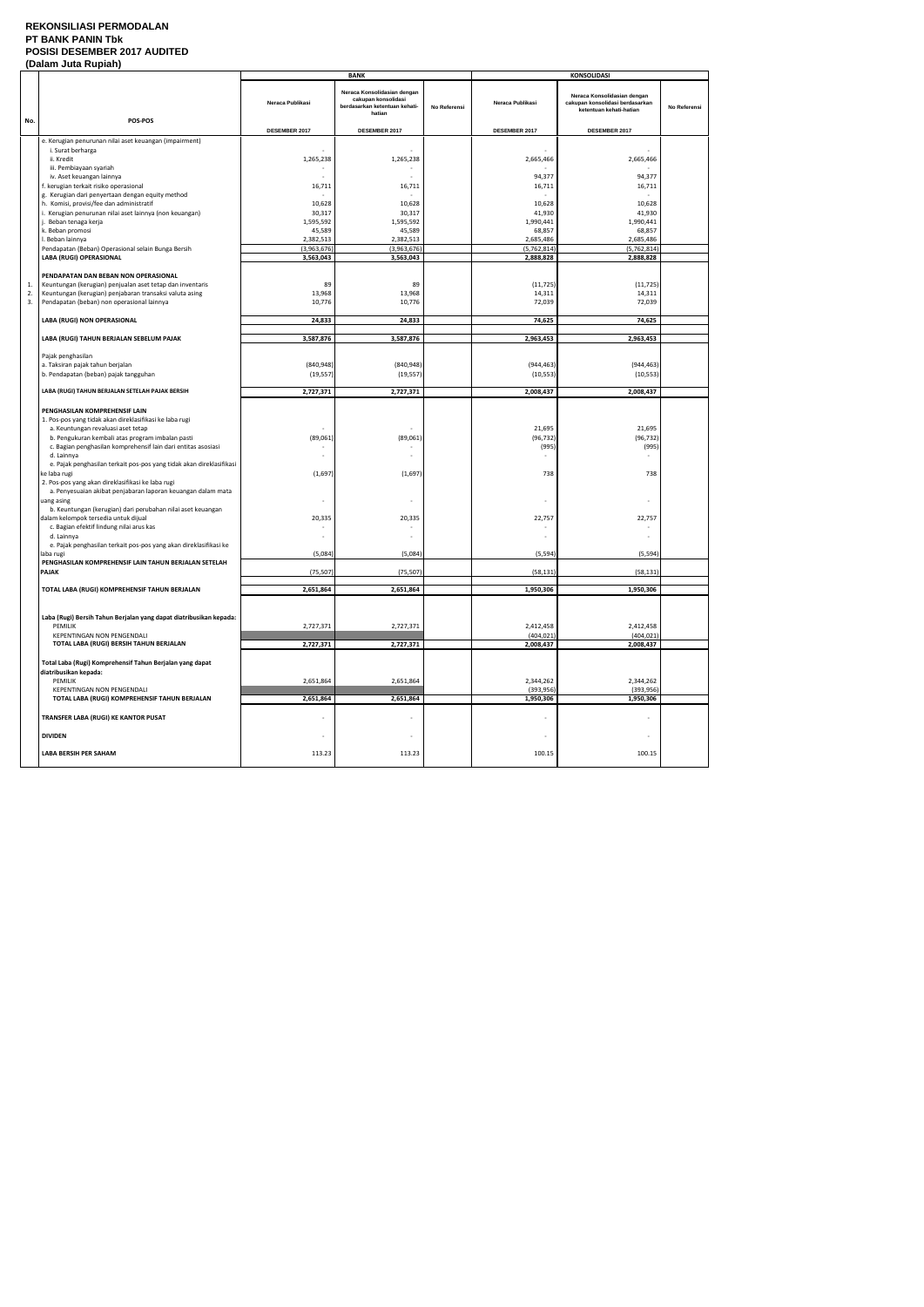### **REKONSILIASI PERMODALAN PT BANK PANIN Tbk POSISI DESEMBER 2017 AUDITED (Dalam Juta Rupiah)**

|     | (Dalam Jula Rupian                                                   |                  |                                                                                               |              |                          |                                                                                           |              |
|-----|----------------------------------------------------------------------|------------------|-----------------------------------------------------------------------------------------------|--------------|--------------------------|-------------------------------------------------------------------------------------------|--------------|
|     |                                                                      |                  | <b>BANK</b>                                                                                   |              |                          | <b>KONSOLIDASI</b>                                                                        |              |
| No. | POS-POS                                                              | Neraca Publikasi | Neraca Konsolidasian dengan<br>cakupan konsolidasi<br>berdasarkan ketentuan kehati-<br>hatian | No Referensi | Neraca Publikasi         | Neraca Konsolidasian dengan<br>cakupan konsolidasi berdasarkan<br>ketentuan kehati-hatian | No Referensi |
|     |                                                                      |                  |                                                                                               |              |                          |                                                                                           |              |
|     |                                                                      | DESEMBER 2017    | DESEMBER 2017                                                                                 |              | DESEMBER 2017            | DESEMBER 2017                                                                             |              |
|     | e. Kerugian penurunan nilai aset keuangan (impairment)               |                  |                                                                                               |              |                          |                                                                                           |              |
|     | i. Surat berharga                                                    |                  |                                                                                               |              |                          | $\sim$                                                                                    |              |
|     | ii. Kredit                                                           | 1,265,238        | 1,265,238                                                                                     |              | 2,665,466                | 2,665,466                                                                                 |              |
|     | iii. Pembiayaan syariah                                              |                  |                                                                                               |              |                          |                                                                                           |              |
|     |                                                                      |                  |                                                                                               |              |                          |                                                                                           |              |
|     | iv. Aset keuangan lainnya                                            |                  |                                                                                               |              | 94,377                   | 94,377                                                                                    |              |
|     | f. kerugian terkait risiko operasional                               | 16,711           | 16,711                                                                                        |              | 16,711                   | 16,711                                                                                    |              |
|     | g. Kerugian dari penyertaan dengan equity method                     |                  |                                                                                               |              |                          |                                                                                           |              |
|     | h. Komisi, provisi/fee dan administratif                             | 10,628           | 10,628                                                                                        |              | 10,628                   | 10,628                                                                                    |              |
|     | i. Kerugian penurunan nilai aset lainnya (non keuangan)              | 30,317           | 30,317                                                                                        |              | 41,930                   | 41,930                                                                                    |              |
|     | j. Beban tenaga kerja                                                | 1,595,592        | 1,595,592                                                                                     |              | 1,990,441                | 1,990,441                                                                                 |              |
|     |                                                                      |                  |                                                                                               |              |                          |                                                                                           |              |
|     | k. Beban promosi                                                     | 45,589           | 45,589                                                                                        |              | 68,857                   | 68,857                                                                                    |              |
|     | I. Beban lainnya                                                     | 2,382,513        | 2,382,513                                                                                     |              | 2,685,486                | 2,685,486                                                                                 |              |
|     | Pendapatan (Beban) Operasional selain Bunga Bersih                   | (3,963,676)      | (3,963,676)                                                                                   |              | (5,762,814)              | (5,762,814)                                                                               |              |
|     | LABA (RUGI) OPERASIONAL                                              | 3,563,043        | 3,563,043                                                                                     |              | 2,888,828                | 2,888,828                                                                                 |              |
|     |                                                                      |                  |                                                                                               |              |                          |                                                                                           |              |
|     | PENDAPATAN DAN BEBAN NON OPERASIONAL                                 |                  |                                                                                               |              |                          |                                                                                           |              |
|     |                                                                      |                  |                                                                                               |              |                          |                                                                                           |              |
| 1.  | Keuntungan (kerugian) penjualan aset tetap dan inventaris            | 89               | 89                                                                                            |              | (11, 725)                | (11, 725)                                                                                 |              |
| 2.  | Keuntungan (kerugian) penjabaran transaksi valuta asing              | 13,968           | 13,968                                                                                        |              | 14,311                   | 14,311                                                                                    |              |
| 3.  | Pendapatan (beban) non operasional lainnya                           | 10,776           | 10,776                                                                                        |              | 72,039                   | 72,039                                                                                    |              |
|     |                                                                      |                  |                                                                                               |              |                          |                                                                                           |              |
|     | LABA (RUGI) NON OPERASIONAL                                          | 24,833           | 24,833                                                                                        |              | 74,625                   | 74,625                                                                                    |              |
|     |                                                                      |                  |                                                                                               |              |                          |                                                                                           |              |
|     |                                                                      |                  |                                                                                               |              |                          |                                                                                           |              |
|     | LABA (RUGI) TAHUN BERJALAN SEBELUM PAJAK                             | 3,587,876        | 3,587,876                                                                                     |              | 2,963,453                | 2,963,453                                                                                 |              |
|     |                                                                      |                  |                                                                                               |              |                          |                                                                                           |              |
|     | Pajak penghasilan                                                    |                  |                                                                                               |              |                          |                                                                                           |              |
|     | a. Taksiran pajak tahun berjalan                                     | (840, 948)       | (840, 948)                                                                                    |              | (944, 463)               | (944, 463)                                                                                |              |
|     | b. Pendapatan (beban) pajak tangguhan                                | (19, 557)        | (19, 557)                                                                                     |              | (10, 553)                | (10, 553)                                                                                 |              |
|     |                                                                      |                  |                                                                                               |              |                          |                                                                                           |              |
|     |                                                                      |                  |                                                                                               |              |                          |                                                                                           |              |
|     | LABA (RUGI) TAHUN BERJALAN SETELAH PAJAK BERSIH                      | 2,727,371        | 2,727,371                                                                                     |              | 2,008,437                | 2,008,437                                                                                 |              |
|     |                                                                      |                  |                                                                                               |              |                          |                                                                                           |              |
|     | PENGHASILAN KOMPREHENSIF LAIN                                        |                  |                                                                                               |              |                          |                                                                                           |              |
|     | 1. Pos-pos yang tidak akan direklasifikasi ke laba rugi              |                  |                                                                                               |              |                          |                                                                                           |              |
|     | a. Keuntungan revaluasi aset tetap                                   |                  |                                                                                               |              | 21,695                   | 21,695                                                                                    |              |
|     |                                                                      |                  |                                                                                               |              |                          |                                                                                           |              |
|     | b. Pengukuran kembali atas program imbalan pasti                     | (89,061)         | (89,061)                                                                                      |              | (96, 732)                | (96, 732)                                                                                 |              |
|     | c. Bagian penghasilan komprehensif lain dari entitas asosiasi        |                  |                                                                                               |              | (995)                    | (995)                                                                                     |              |
|     | d. Lainnya                                                           |                  |                                                                                               |              |                          |                                                                                           |              |
|     | e. Pajak penghasilan terkait pos-pos yang tidak akan direklasifikasi |                  |                                                                                               |              |                          |                                                                                           |              |
|     | ke laba rugi                                                         | (1,697)          | (1,697)                                                                                       |              | 738                      | 738                                                                                       |              |
|     |                                                                      |                  |                                                                                               |              |                          |                                                                                           |              |
|     | 2. Pos-pos yang akan direklasifikasi ke laba rugi                    |                  |                                                                                               |              |                          |                                                                                           |              |
|     | a. Penyesuaian akibat penjabaran laporan keuangan dalam mata         |                  |                                                                                               |              |                          |                                                                                           |              |
|     | uang asing                                                           |                  |                                                                                               |              |                          |                                                                                           |              |
|     | b. Keuntungan (kerugian) dari perubahan nilai aset keuangan          |                  |                                                                                               |              |                          |                                                                                           |              |
|     | dalam kelompok tersedia untuk dijual                                 | 20,335           | 20,335                                                                                        |              | 22,757                   | 22,757                                                                                    |              |
|     | c. Bagian efektif lindung nilai arus kas                             |                  |                                                                                               |              |                          |                                                                                           |              |
|     |                                                                      |                  |                                                                                               |              |                          |                                                                                           |              |
|     | d. Lainnya                                                           |                  | $\overline{\phantom{a}}$                                                                      |              |                          |                                                                                           |              |
|     | e. Pajak penghasilan terkait pos-pos yang akan direklasifikasi ke    |                  |                                                                                               |              |                          |                                                                                           |              |
|     | laba rugi                                                            | (5,084)          | (5,084)                                                                                       |              | (5, 594)                 | (5, 594)                                                                                  |              |
|     | PENGHASILAN KOMPREHENSIF LAIN TAHUN BERJALAN SETELAH                 |                  |                                                                                               |              |                          |                                                                                           |              |
|     | PAJAK                                                                | (75, 507)        | (75, 507)                                                                                     |              | (58, 131)                | (58, 131)                                                                                 |              |
|     |                                                                      |                  |                                                                                               |              |                          |                                                                                           |              |
|     | TOTAL LABA (RUGI) KOMPREHENSIF TAHUN BERJALAN                        | 2,651,864        | 2,651,864                                                                                     |              | 1,950,306                | 1,950,306                                                                                 |              |
|     |                                                                      |                  |                                                                                               |              |                          |                                                                                           |              |
|     |                                                                      |                  |                                                                                               |              |                          |                                                                                           |              |
|     |                                                                      |                  |                                                                                               |              |                          |                                                                                           |              |
|     | Laba (Rugi) Bersih Tahun Berjalan yang dapat diatribusikan kepada:   |                  |                                                                                               |              |                          |                                                                                           |              |
|     | PEMILIK                                                              | 2,727,371        | 2,727,371                                                                                     |              | 2,412,458                | 2,412,458                                                                                 |              |
|     | KEPENTINGAN NON PENGENDALI                                           |                  |                                                                                               |              | (404, 021)               | (404, 021)                                                                                |              |
|     | TOTAL LABA (RUGI) BERSIH TAHUN BERJALAN                              | 2,727,371        | 2,727,371                                                                                     |              | 2,008,437                | 2,008,437                                                                                 |              |
|     |                                                                      |                  |                                                                                               |              |                          |                                                                                           |              |
|     |                                                                      |                  |                                                                                               |              |                          |                                                                                           |              |
|     | Total Laba (Rugi) Komprehensif Tahun Berjalan yang dapat             |                  |                                                                                               |              |                          |                                                                                           |              |
|     | diatribusikan kepada:                                                |                  |                                                                                               |              |                          |                                                                                           |              |
|     | PEMILIK                                                              | 2,651,864        | 2,651,864                                                                                     |              | 2,344,262                | 2,344,262                                                                                 |              |
|     | KEPENTINGAN NON PENGENDALI                                           |                  |                                                                                               |              | (393, 956)               | (393, 956)                                                                                |              |
|     | TOTAL LABA (RUGI) KOMPREHENSIF TAHUN BERJALAN                        |                  |                                                                                               |              |                          |                                                                                           |              |
|     |                                                                      | 2,651,864        | 2,651,864                                                                                     |              | 1,950,306                | 1,950,306                                                                                 |              |
|     |                                                                      |                  |                                                                                               |              |                          |                                                                                           |              |
|     | TRANSFER LABA (RUGI) KE KANTOR PUSAT                                 |                  | $\overline{\phantom{a}}$                                                                      |              |                          |                                                                                           |              |
|     |                                                                      |                  |                                                                                               |              |                          |                                                                                           |              |
|     | <b>DIVIDEN</b>                                                       |                  | $\overline{\phantom{a}}$                                                                      |              | $\overline{\phantom{a}}$ | $\overline{\phantom{a}}$                                                                  |              |
|     |                                                                      |                  |                                                                                               |              |                          |                                                                                           |              |
|     |                                                                      |                  |                                                                                               |              |                          |                                                                                           |              |
|     | <b>LABA BERSIH PER SAHAM</b>                                         | 113.23           | 113.23                                                                                        |              | 100.15                   | 100.15                                                                                    |              |
|     |                                                                      |                  |                                                                                               |              |                          |                                                                                           |              |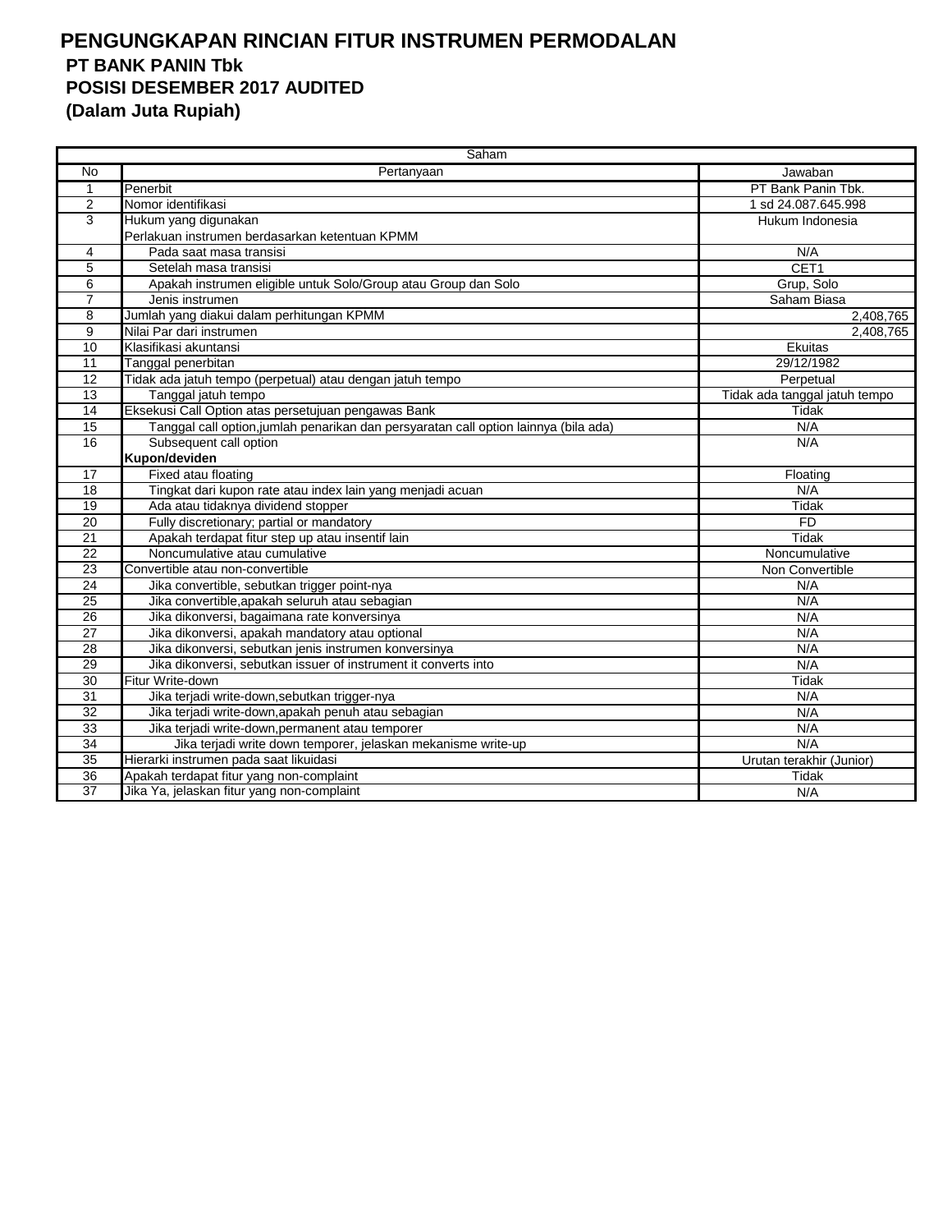|                 | Saham                                                                                |                               |
|-----------------|--------------------------------------------------------------------------------------|-------------------------------|
| <b>No</b>       | Pertanyaan                                                                           | Jawaban                       |
| 1               | Penerbit                                                                             | PT Bank Panin Tbk.            |
| 2               | Nomor identifikasi                                                                   | 1 sd 24.087.645.998           |
| 3               | Hukum yang digunakan                                                                 | Hukum Indonesia               |
|                 | Perlakuan instrumen berdasarkan ketentuan KPMM                                       |                               |
| 4               | Pada saat masa transisi                                                              | N/A                           |
| 5               | Setelah masa transisi                                                                | CET <sub>1</sub>              |
| 6               | Apakah instrumen eligible untuk Solo/Group atau Group dan Solo                       | Grup, Solo                    |
| $\overline{7}$  | Jenis instrumen                                                                      | Saham Biasa                   |
| 8               | Jumlah yang diakui dalam perhitungan KPMM                                            | 2,408,765                     |
| $\overline{9}$  | Nilai Par dari instrumen                                                             | 2,408,765                     |
| $\overline{10}$ | Klasifikasi akuntansi                                                                | Ekuitas                       |
| 11              | Tanggal penerbitan                                                                   | 29/12/1982                    |
| 12              | Tidak ada jatuh tempo (perpetual) atau dengan jatuh tempo                            | Perpetual                     |
| 13              | Tanggal jatuh tempo                                                                  | Tidak ada tanggal jatuh tempo |
| 14              | Eksekusi Call Option atas persetujuan pengawas Bank                                  | Tidak                         |
| $\overline{15}$ | Tanggal call option, jumlah penarikan dan persyaratan call option lainnya (bila ada) | N/A                           |
| 16              | Subsequent call option                                                               | N/A                           |
|                 | Kupon/deviden                                                                        |                               |
| 17              | Fixed atau floating                                                                  | Floating                      |
| $\overline{18}$ | Tingkat dari kupon rate atau index lain yang menjadi acuan                           | N/A                           |
| 19              | Ada atau tidaknya dividend stopper                                                   | Tidak                         |
| 20              | Fully discretionary; partial or mandatory                                            | <b>FD</b>                     |
| 21              | Apakah terdapat fitur step up atau insentif lain                                     | Tidak                         |
| 22              | Noncumulative atau cumulative                                                        | Noncumulative                 |
| $\overline{23}$ | Convertible atau non-convertible                                                     | Non Convertible               |
| 24              | Jika convertible, sebutkan trigger point-nya                                         | N/A                           |
| 25              | Jika convertible, apakah seluruh atau sebagian                                       | N/A                           |
| 26              | Jika dikonversi, bagaimana rate konversinya                                          | N/A                           |
| 27              | Jika dikonversi, apakah mandatory atau optional                                      | N/A                           |
| $\overline{28}$ | Jika dikonversi, sebutkan jenis instrumen konversinya                                | N/A                           |
| 29              | Jika dikonversi, sebutkan issuer of instrument it converts into                      | N/A                           |
| $\overline{30}$ | Fitur Write-down                                                                     | Tidak                         |
| 31              | Jika terjadi write-down, sebutkan trigger-nya                                        | N/A                           |
| $\overline{32}$ | Jika terjadi write-down, apakah penuh atau sebagian                                  | N/A                           |
| $\overline{33}$ | Jika terjadi write-down, permanent atau temporer                                     | N/A                           |
| $\overline{34}$ | Jika terjadi write down temporer, jelaskan mekanisme write-up                        | N/A                           |
| 35              | Hierarki instrumen pada saat likuidasi                                               | Urutan terakhir (Junior)      |
| 36              | Apakah terdapat fitur yang non-complaint                                             | Tidak                         |
| $\overline{37}$ | Jika Ya, jelaskan fitur yang non-complaint                                           | N/A                           |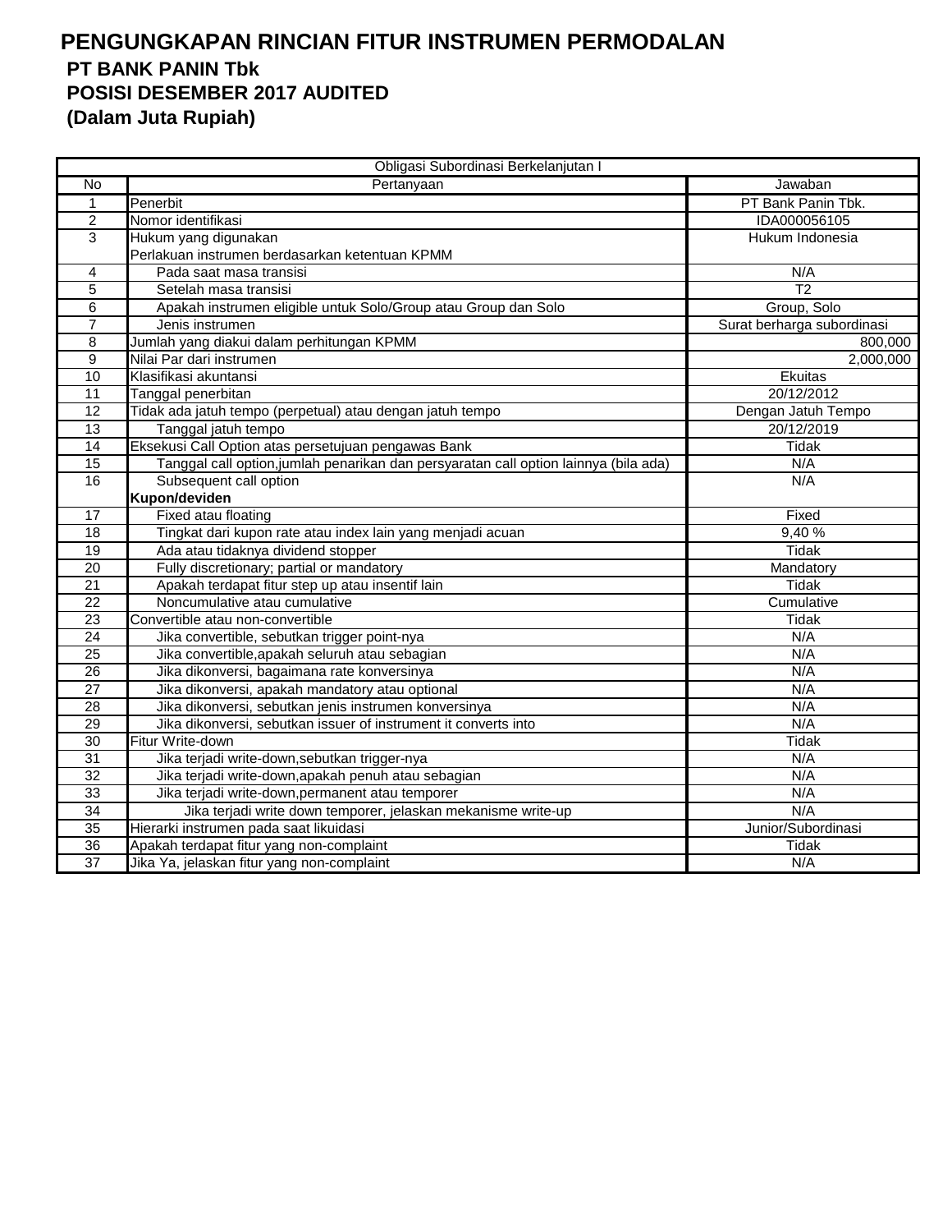|                 | Obligasi Subordinasi Berkelanjutan I                                                 |                            |
|-----------------|--------------------------------------------------------------------------------------|----------------------------|
| No              | Pertanyaan                                                                           | Jawaban                    |
| $\mathbf{1}$    | Penerbit                                                                             | PT Bank Panin Tbk.         |
| $\overline{2}$  | Nomor identifikasi                                                                   | IDA000056105               |
| 3               | Hukum yang digunakan                                                                 | Hukum Indonesia            |
|                 | Perlakuan instrumen berdasarkan ketentuan KPMM                                       |                            |
| 4               | Pada saat masa transisi                                                              | N/A                        |
| 5               | Setelah masa transisi                                                                | $\overline{12}$            |
| $\overline{6}$  | Apakah instrumen eligible untuk Solo/Group atau Group dan Solo                       | Group, Solo                |
| 7               | Jenis instrumen                                                                      | Surat berharga subordinasi |
| 8               | Jumlah yang diakui dalam perhitungan KPMM                                            | 800,000                    |
| $\overline{9}$  | Nilai Par dari instrumen                                                             | 2,000,000                  |
| 10              | Klasifikasi akuntansi                                                                | Ekuitas                    |
| 11              | Tanggal penerbitan                                                                   | 20/12/2012                 |
| 12              | Tidak ada jatuh tempo (perpetual) atau dengan jatuh tempo                            | Dengan Jatuh Tempo         |
| 13              | Tanggal jatuh tempo                                                                  | 20/12/2019                 |
| $\overline{14}$ | Eksekusi Call Option atas persetujuan pengawas Bank                                  | <b>Tidak</b>               |
| 15              | Tanggal call option, jumlah penarikan dan persyaratan call option lainnya (bila ada) | N/A                        |
| 16              | Subsequent call option                                                               | N/A                        |
|                 | Kupon/deviden                                                                        |                            |
| 17              | Fixed atau floating                                                                  | Fixed                      |
| 18              | Tingkat dari kupon rate atau index lain yang menjadi acuan                           | 9,40%                      |
| $\overline{19}$ | Ada atau tidaknya dividend stopper                                                   | <b>Tidak</b>               |
| 20              | Fully discretionary; partial or mandatory                                            | Mandatory                  |
| 21              | Apakah terdapat fitur step up atau insentif lain                                     | Tidak                      |
| 22              | Noncumulative atau cumulative                                                        | Cumulative                 |
| $\overline{23}$ | Convertible atau non-convertible                                                     | <b>Tidak</b>               |
| $\overline{24}$ | Jika convertible, sebutkan trigger point-nya                                         | N/A                        |
| 25              | Jika convertible, apakah seluruh atau sebagian                                       | N/A                        |
| 26              | Jika dikonversi, bagaimana rate konversinya                                          | N/A                        |
| 27              | Jika dikonversi, apakah mandatory atau optional                                      | N/A                        |
| 28              | Jika dikonversi, sebutkan jenis instrumen konversinya                                | N/A                        |
| 29              | Jika dikonversi, sebutkan issuer of instrument it converts into                      | N/A                        |
| $\overline{30}$ | Fitur Write-down                                                                     | <b>Tidak</b>               |
| 31              | Jika terjadi write-down, sebutkan trigger-nya                                        | N/A                        |
| 32              | Jika terjadi write-down, apakah penuh atau sebagian                                  | N/A                        |
| 33              | Jika terjadi write-down, permanent atau temporer                                     | N/A                        |
| 34              | Jika terjadi write down temporer, jelaskan mekanisme write-up                        | N/A                        |
| 35              | Hierarki instrumen pada saat likuidasi                                               | Junior/Subordinasi         |
| 36              | Apakah terdapat fitur yang non-complaint                                             | Tidak                      |
| 37              | Jika Ya, jelaskan fitur yang non-complaint                                           | N/A                        |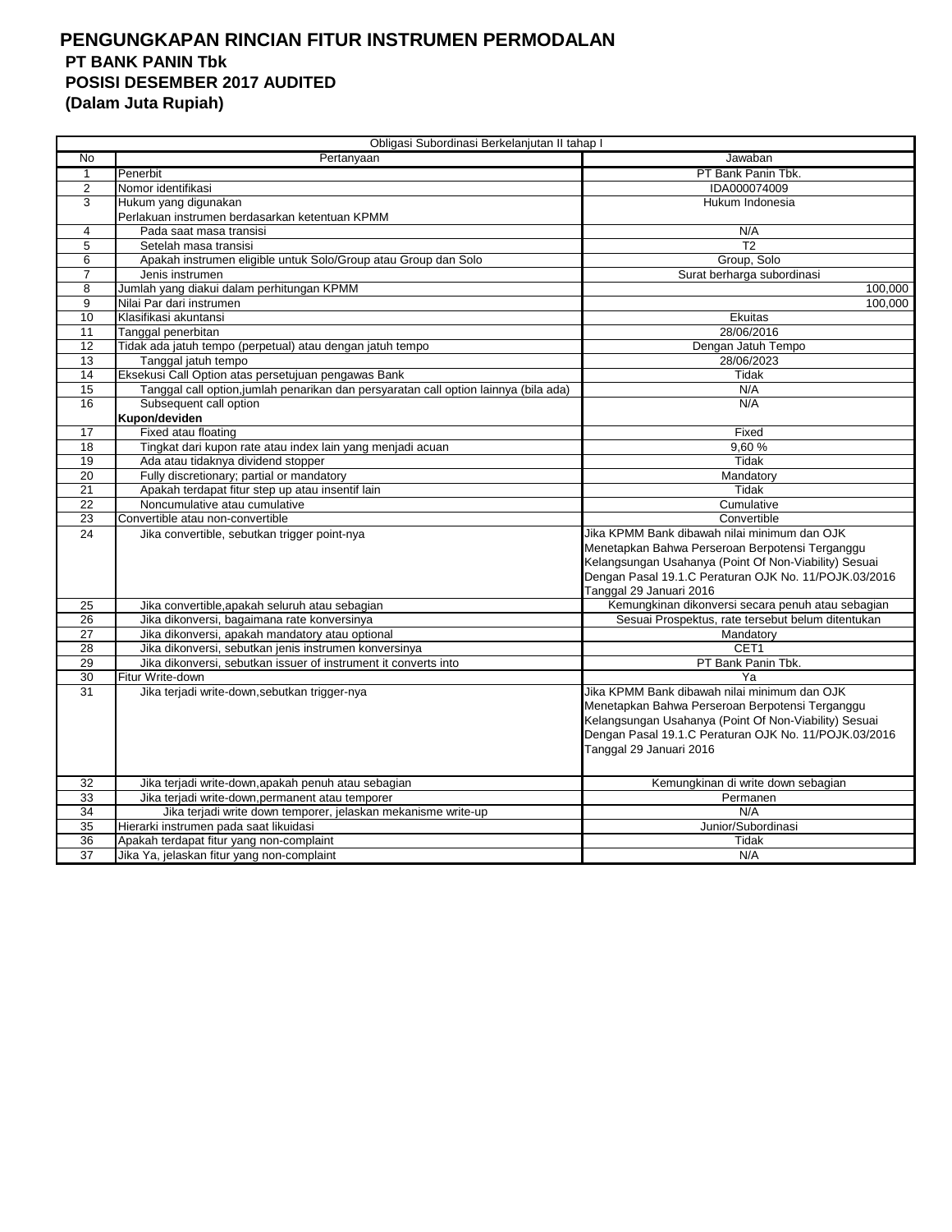|                       | Obligasi Subordinasi Berkelanjutan II tahap I                                                           |                                                       |
|-----------------------|---------------------------------------------------------------------------------------------------------|-------------------------------------------------------|
| No                    | Pertanyaan                                                                                              | Jawaban                                               |
| $\mathbf{1}$          | Penerbit                                                                                                |                                                       |
|                       |                                                                                                         | PT Bank Panin Tbk.                                    |
| $\overline{c}$        | Nomor identifikasi                                                                                      | IDA000074009                                          |
| 3                     | Hukum yang digunakan<br>Perlakuan instrumen berdasarkan ketentuan KPMM                                  | Hukum Indonesia                                       |
| 4                     |                                                                                                         |                                                       |
|                       | Pada saat masa transisi                                                                                 | N/A                                                   |
| 5<br>6                | Setelah masa transisi<br>Apakah instrumen eligible untuk Solo/Group atau Group dan Solo                 | T <sub>2</sub><br>Group, Solo                         |
| 7                     |                                                                                                         |                                                       |
| 8                     | Jenis instrumen<br>Jumlah yang diakui dalam perhitungan KPMM                                            | Surat berharga subordinasi<br>100,000                 |
| 9                     | Nilai Par dari instrumen                                                                                | 100.000                                               |
| 10                    | Klasifikasi akuntansi                                                                                   | Ekuitas                                               |
| 11                    | Tanggal penerbitan                                                                                      | 28/06/2016                                            |
| 12                    |                                                                                                         |                                                       |
| 13                    | Tidak ada jatuh tempo (perpetual) atau dengan jatuh tempo<br>Tanggal jatuh tempo                        | Dengan Jatuh Tempo<br>28/06/2023                      |
| 14                    | Eksekusi Call Option atas persetujuan pengawas Bank                                                     | Tidak                                                 |
| 15                    |                                                                                                         | N/A                                                   |
| 16                    | Tanggal call option, jumlah penarikan dan persyaratan call option lainnya (bila ada)                    | N/A                                                   |
|                       | Subsequent call option<br>Kupon/deviden                                                                 |                                                       |
|                       |                                                                                                         |                                                       |
| 17<br>18              | Fixed atau floating                                                                                     | Fixed                                                 |
| 19                    | Tingkat dari kupon rate atau index lain yang menjadi acuan<br>Ada atau tidaknya dividend stopper        | 9,60%<br>Tidak                                        |
| $\overline{20}$       | Fully discretionary; partial or mandatory                                                               |                                                       |
| 21                    |                                                                                                         | Mandatory<br>Tidak                                    |
| $\overline{22}$       | Apakah terdapat fitur step up atau insentif lain<br>Noncumulative atau cumulative                       | Cumulative                                            |
| 23                    |                                                                                                         | Convertible                                           |
| 24                    | Convertible atau non-convertible                                                                        | Jika KPMM Bank dibawah nilai minimum dan OJK          |
|                       | Jika convertible, sebutkan trigger point-nya                                                            | Menetapkan Bahwa Perseroan Berpotensi Terganggu       |
|                       |                                                                                                         | Kelangsungan Usahanya (Point Of Non-Viability) Sesuai |
|                       |                                                                                                         | Dengan Pasal 19.1.C Peraturan OJK No. 11/POJK.03/2016 |
|                       |                                                                                                         | Tanggal 29 Januari 2016                               |
| 25                    | Jika convertible, apakah seluruh atau sebagian                                                          | Kemungkinan dikonversi secara penuh atau sebagian     |
| 26                    | Jika dikonversi, bagaimana rate konversinya                                                             | Sesuai Prospektus, rate tersebut belum ditentukan     |
| 27                    | Jika dikonversi, apakah mandatory atau optional                                                         | Mandatory                                             |
| 28                    | Jika dikonversi, sebutkan jenis instrumen konversinya                                                   | CET <sub>1</sub>                                      |
| 29                    | Jika dikonversi, sebutkan issuer of instrument it converts into                                         | PT Bank Panin Tbk.                                    |
| 30                    | Fitur Write-down                                                                                        | Ya                                                    |
| 31                    | Jika terjadi write-down, sebutkan trigger-nya                                                           | Jika KPMM Bank dibawah nilai minimum dan OJK          |
|                       |                                                                                                         | Menetapkan Bahwa Perseroan Berpotensi Terganggu       |
|                       |                                                                                                         | Kelangsungan Usahanya (Point Of Non-Viability) Sesuai |
|                       |                                                                                                         | Dengan Pasal 19.1.C Peraturan OJK No. 11/POJK.03/2016 |
|                       |                                                                                                         | Tanggal 29 Januari 2016                               |
|                       |                                                                                                         |                                                       |
|                       |                                                                                                         |                                                       |
| 32                    | Jika terjadi write-down, apakah penuh atau sebagian                                                     | Kemungkinan di write down sebagian                    |
| 33<br>$\overline{34}$ | Jika terjadi write-down, permanent atau temporer                                                        | Permanen<br>N/A                                       |
|                       | Jika terjadi write down temporer, jelaskan mekanisme write-up<br>Hierarki instrumen pada saat likuidasi | Junior/Subordinasi                                    |
| 35<br>36              |                                                                                                         | Tidak                                                 |
| $\overline{37}$       | Apakah terdapat fitur yang non-complaint<br>Jika Ya, jelaskan fitur yang non-complaint                  | N/A                                                   |
|                       |                                                                                                         |                                                       |